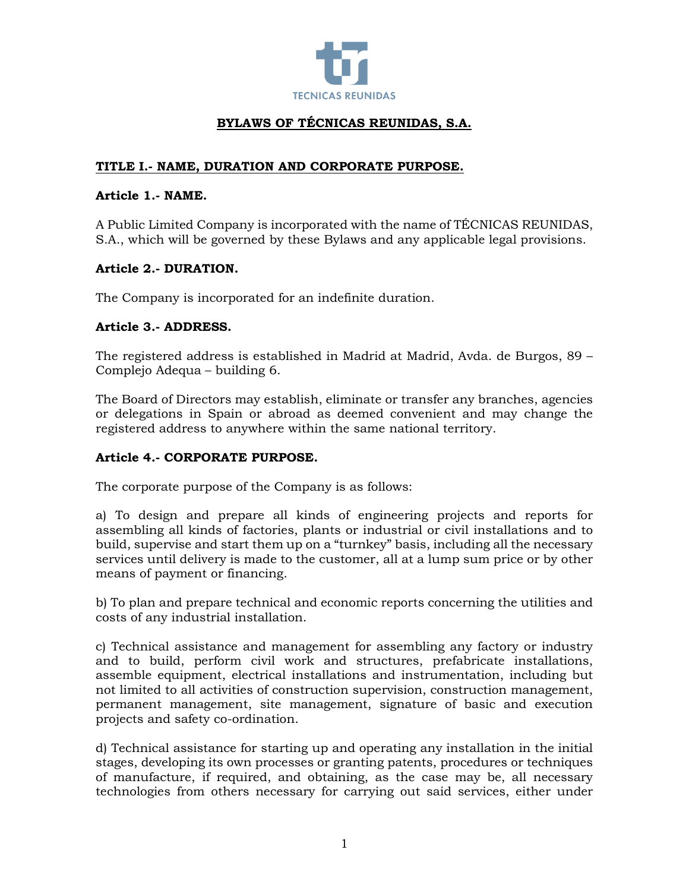

# **BYLAWS OF TÉCNICAS REUNIDAS, S.A.**

# **TITLE I.- NAME, DURATION AND CORPORATE PURPOSE.**

### **Article 1.- NAME.**

A Public Limited Company is incorporated with the name of TÉCNICAS REUNIDAS, S.A., which will be governed by these Bylaws and any applicable legal provisions.

### **Article 2.- DURATION.**

The Company is incorporated for an indefinite duration.

### **Article 3.- ADDRESS.**

The registered address is established in Madrid at Madrid, Avda. de Burgos, 89 – Complejo Adequa – building 6.

The Board of Directors may establish, eliminate or transfer any branches, agencies or delegations in Spain or abroad as deemed convenient and may change the registered address to anywhere within the same national territory.

# **Article 4.- CORPORATE PURPOSE.**

The corporate purpose of the Company is as follows:

a) To design and prepare all kinds of engineering projects and reports for assembling all kinds of factories, plants or industrial or civil installations and to build, supervise and start them up on a "turnkey" basis, including all the necessary services until delivery is made to the customer, all at a lump sum price or by other means of payment or financing.

b) To plan and prepare technical and economic reports concerning the utilities and costs of any industrial installation.

c) Technical assistance and management for assembling any factory or industry and to build, perform civil work and structures, prefabricate installations, assemble equipment, electrical installations and instrumentation, including but not limited to all activities of construction supervision, construction management, permanent management, site management, signature of basic and execution projects and safety co-ordination.

d) Technical assistance for starting up and operating any installation in the initial stages, developing its own processes or granting patents, procedures or techniques of manufacture, if required, and obtaining, as the case may be, all necessary technologies from others necessary for carrying out said services, either under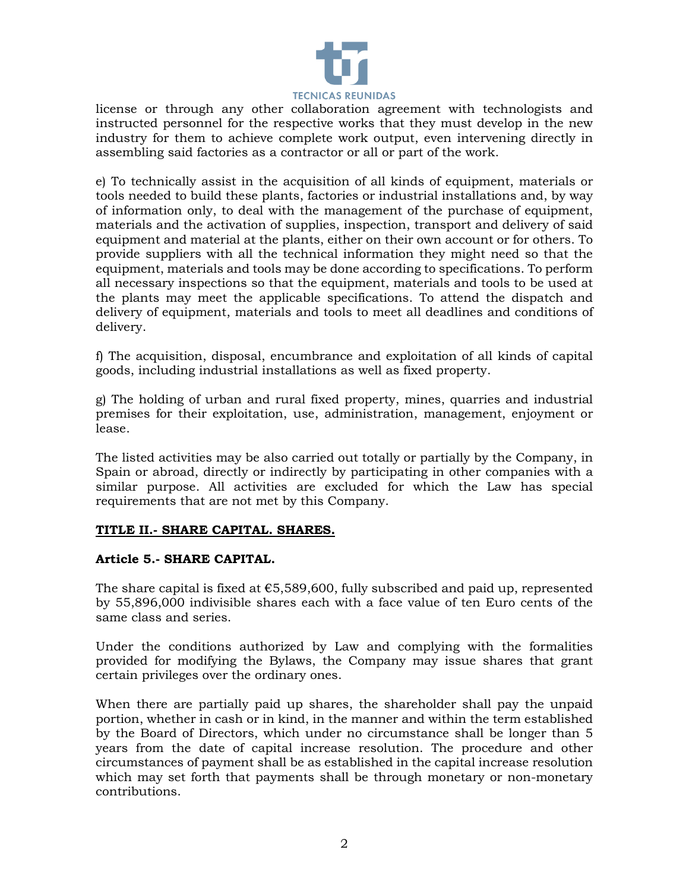

license or through any other collaboration agreement with technologists and instructed personnel for the respective works that they must develop in the new industry for them to achieve complete work output, even intervening directly in assembling said factories as a contractor or all or part of the work.

e) To technically assist in the acquisition of all kinds of equipment, materials or tools needed to build these plants, factories or industrial installations and, by way of information only, to deal with the management of the purchase of equipment, materials and the activation of supplies, inspection, transport and delivery of said equipment and material at the plants, either on their own account or for others. To provide suppliers with all the technical information they might need so that the equipment, materials and tools may be done according to specifications. To perform all necessary inspections so that the equipment, materials and tools to be used at the plants may meet the applicable specifications. To attend the dispatch and delivery of equipment, materials and tools to meet all deadlines and conditions of delivery.

f) The acquisition, disposal, encumbrance and exploitation of all kinds of capital goods, including industrial installations as well as fixed property.

g) The holding of urban and rural fixed property, mines, quarries and industrial premises for their exploitation, use, administration, management, enjoyment or lease.

The listed activities may be also carried out totally or partially by the Company, in Spain or abroad, directly or indirectly by participating in other companies with a similar purpose. All activities are excluded for which the Law has special requirements that are not met by this Company.

### **TITLE II.- SHARE CAPITAL. SHARES.**

### **Article 5.- SHARE CAPITAL.**

The share capital is fixed at  $\epsilon$ 5,589,600, fully subscribed and paid up, represented by 55,896,000 indivisible shares each with a face value of ten Euro cents of the same class and series.

Under the conditions authorized by Law and complying with the formalities provided for modifying the Bylaws, the Company may issue shares that grant certain privileges over the ordinary ones.

When there are partially paid up shares, the shareholder shall pay the unpaid portion, whether in cash or in kind, in the manner and within the term established by the Board of Directors, which under no circumstance shall be longer than 5 years from the date of capital increase resolution. The procedure and other circumstances of payment shall be as established in the capital increase resolution which may set forth that payments shall be through monetary or non-monetary contributions.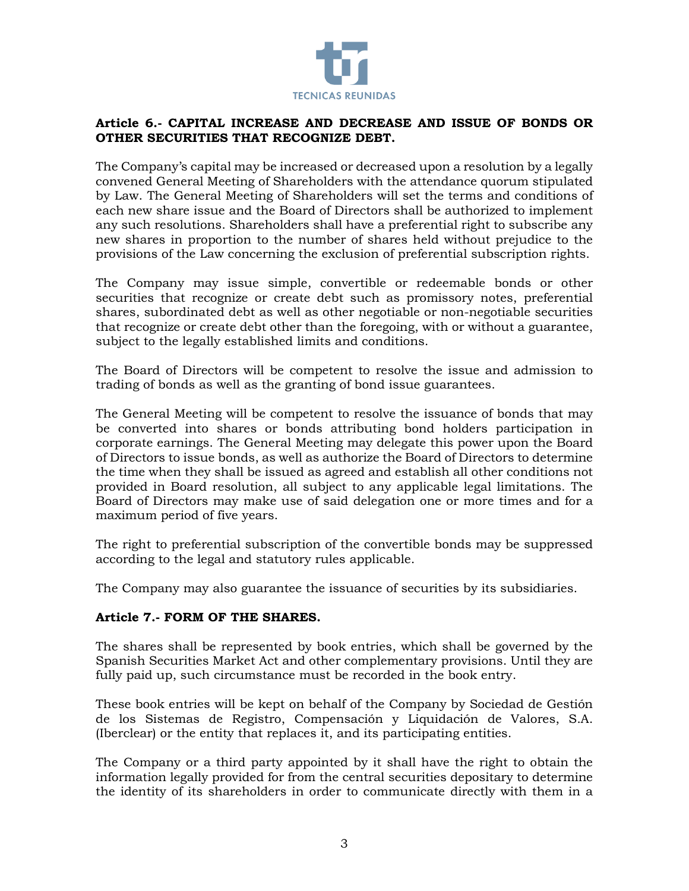

### **Article 6.- CAPITAL INCREASE AND DECREASE AND ISSUE OF BONDS OR OTHER SECURITIES THAT RECOGNIZE DEBT.**

The Company's capital may be increased or decreased upon a resolution by a legally convened General Meeting of Shareholders with the attendance quorum stipulated by Law. The General Meeting of Shareholders will set the terms and conditions of each new share issue and the Board of Directors shall be authorized to implement any such resolutions. Shareholders shall have a preferential right to subscribe any new shares in proportion to the number of shares held without prejudice to the provisions of the Law concerning the exclusion of preferential subscription rights.

The Company may issue simple, convertible or redeemable bonds or other securities that recognize or create debt such as promissory notes, preferential shares, subordinated debt as well as other negotiable or non-negotiable securities that recognize or create debt other than the foregoing, with or without a guarantee, subject to the legally established limits and conditions.

The Board of Directors will be competent to resolve the issue and admission to trading of bonds as well as the granting of bond issue guarantees.

The General Meeting will be competent to resolve the issuance of bonds that may be converted into shares or bonds attributing bond holders participation in corporate earnings. The General Meeting may delegate this power upon the Board of Directors to issue bonds, as well as authorize the Board of Directors to determine the time when they shall be issued as agreed and establish all other conditions not provided in Board resolution, all subject to any applicable legal limitations. The Board of Directors may make use of said delegation one or more times and for a maximum period of five years.

The right to preferential subscription of the convertible bonds may be suppressed according to the legal and statutory rules applicable.

The Company may also guarantee the issuance of securities by its subsidiaries.

### **Article 7.- FORM OF THE SHARES.**

The shares shall be represented by book entries, which shall be governed by the Spanish Securities Market Act and other complementary provisions. Until they are fully paid up, such circumstance must be recorded in the book entry.

These book entries will be kept on behalf of the Company by Sociedad de Gestión de los Sistemas de Registro, Compensación y Liquidación de Valores, S.A. (Iberclear) or the entity that replaces it, and its participating entities.

The Company or a third party appointed by it shall have the right to obtain the information legally provided for from the central securities depositary to determine the identity of its shareholders in order to communicate directly with them in a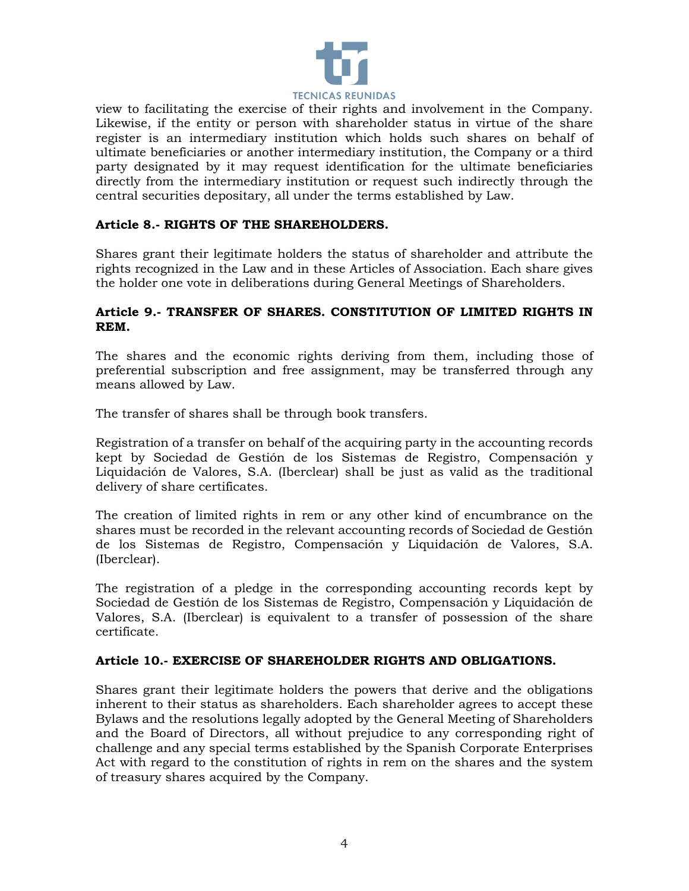

view to facilitating the exercise of their rights and involvement in the Company. Likewise, if the entity or person with shareholder status in virtue of the share register is an intermediary institution which holds such shares on behalf of ultimate beneficiaries or another intermediary institution, the Company or a third party designated by it may request identification for the ultimate beneficiaries directly from the intermediary institution or request such indirectly through the central securities depositary, all under the terms established by Law.

# **Article 8.- RIGHTS OF THE SHAREHOLDERS.**

Shares grant their legitimate holders the status of shareholder and attribute the rights recognized in the Law and in these Articles of Association. Each share gives the holder one vote in deliberations during General Meetings of Shareholders.

### **Article 9.- TRANSFER OF SHARES. CONSTITUTION OF LIMITED RIGHTS IN REM.**

The shares and the economic rights deriving from them, including those of preferential subscription and free assignment, may be transferred through any means allowed by Law.

The transfer of shares shall be through book transfers.

Registration of a transfer on behalf of the acquiring party in the accounting records kept by Sociedad de Gestión de los Sistemas de Registro, Compensación y Liquidación de Valores, S.A. (Iberclear) shall be just as valid as the traditional delivery of share certificates.

The creation of limited rights in rem or any other kind of encumbrance on the shares must be recorded in the relevant accounting records of Sociedad de Gestión de los Sistemas de Registro, Compensación y Liquidación de Valores, S.A. (Iberclear).

The registration of a pledge in the corresponding accounting records kept by Sociedad de Gestión de los Sistemas de Registro, Compensación y Liquidación de Valores, S.A. (Iberclear) is equivalent to a transfer of possession of the share certificate.

### **Article 10.- EXERCISE OF SHAREHOLDER RIGHTS AND OBLIGATIONS.**

Shares grant their legitimate holders the powers that derive and the obligations inherent to their status as shareholders. Each shareholder agrees to accept these Bylaws and the resolutions legally adopted by the General Meeting of Shareholders and the Board of Directors, all without prejudice to any corresponding right of challenge and any special terms established by the Spanish Corporate Enterprises Act with regard to the constitution of rights in rem on the shares and the system of treasury shares acquired by the Company.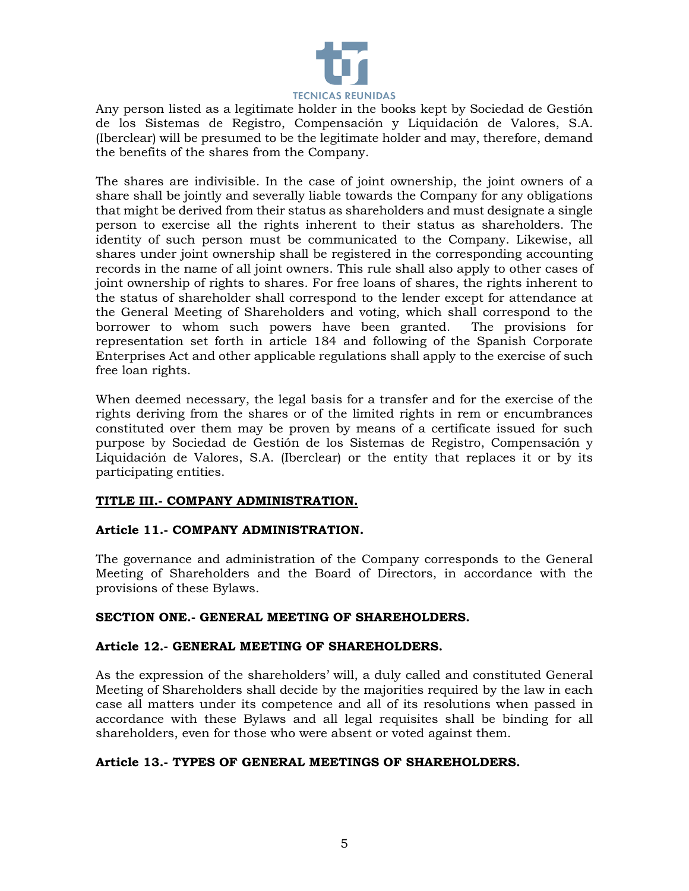

Any person listed as a legitimate holder in the books kept by Sociedad de Gestión de los Sistemas de Registro, Compensación y Liquidación de Valores, S.A. (Iberclear) will be presumed to be the legitimate holder and may, therefore, demand the benefits of the shares from the Company.

The shares are indivisible. In the case of joint ownership, the joint owners of a share shall be jointly and severally liable towards the Company for any obligations that might be derived from their status as shareholders and must designate a single person to exercise all the rights inherent to their status as shareholders. The identity of such person must be communicated to the Company. Likewise, all shares under joint ownership shall be registered in the corresponding accounting records in the name of all joint owners. This rule shall also apply to other cases of joint ownership of rights to shares. For free loans of shares, the rights inherent to the status of shareholder shall correspond to the lender except for attendance at the General Meeting of Shareholders and voting, which shall correspond to the borrower to whom such powers have been granted. The provisions for representation set forth in article 184 and following of the Spanish Corporate Enterprises Act and other applicable regulations shall apply to the exercise of such free loan rights.

When deemed necessary, the legal basis for a transfer and for the exercise of the rights deriving from the shares or of the limited rights in rem or encumbrances constituted over them may be proven by means of a certificate issued for such purpose by Sociedad de Gestión de los Sistemas de Registro, Compensación y Liquidación de Valores, S.A. (Iberclear) or the entity that replaces it or by its participating entities.

### **TITLE III.- COMPANY ADMINISTRATION.**

### **Article 11.- COMPANY ADMINISTRATION.**

The governance and administration of the Company corresponds to the General Meeting of Shareholders and the Board of Directors, in accordance with the provisions of these Bylaws.

### **SECTION ONE.- GENERAL MEETING OF SHAREHOLDERS.**

### **Article 12.- GENERAL MEETING OF SHAREHOLDERS.**

As the expression of the shareholders' will, a duly called and constituted General Meeting of Shareholders shall decide by the majorities required by the law in each case all matters under its competence and all of its resolutions when passed in accordance with these Bylaws and all legal requisites shall be binding for all shareholders, even for those who were absent or voted against them.

### **Article 13.- TYPES OF GENERAL MEETINGS OF SHAREHOLDERS.**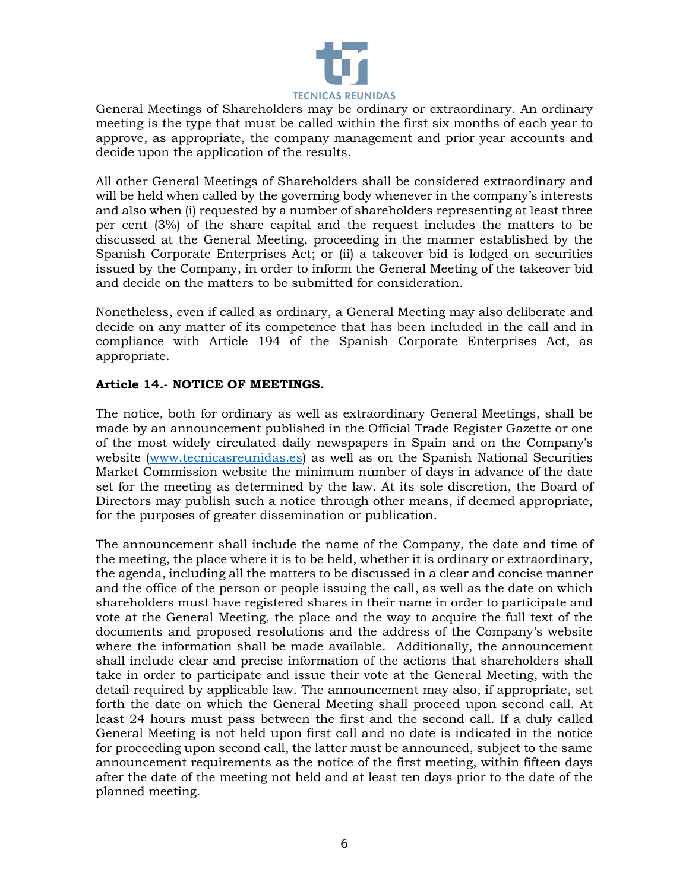

General Meetings of Shareholders may be ordinary or extraordinary. An ordinary meeting is the type that must be called within the first six months of each year to approve, as appropriate, the company management and prior year accounts and decide upon the application of the results.

All other General Meetings of Shareholders shall be considered extraordinary and will be held when called by the governing body whenever in the company's interests and also when (i) requested by a number of shareholders representing at least three per cent (3%) of the share capital and the request includes the matters to be discussed at the General Meeting, proceeding in the manner established by the Spanish Corporate Enterprises Act; or (ii) a takeover bid is lodged on securities issued by the Company, in order to inform the General Meeting of the takeover bid and decide on the matters to be submitted for consideration.

Nonetheless, even if called as ordinary, a General Meeting may also deliberate and decide on any matter of its competence that has been included in the call and in compliance with Article 194 of the Spanish Corporate Enterprises Act, as appropriate.

### **Article 14.- NOTICE OF MEETINGS.**

The notice, both for ordinary as well as extraordinary General Meetings, shall be made by an announcement published in the Official Trade Register Gazette or one of the most widely circulated daily newspapers in Spain and on the Company's website [\(www.tecnicasreunidas.es\)](http://www.tecnicasreunidas.es/) as well as on the Spanish National Securities Market Commission website the minimum number of days in advance of the date set for the meeting as determined by the law. At its sole discretion, the Board of Directors may publish such a notice through other means, if deemed appropriate, for the purposes of greater dissemination or publication.

The announcement shall include the name of the Company, the date and time of the meeting, the place where it is to be held, whether it is ordinary or extraordinary, the agenda, including all the matters to be discussed in a clear and concise manner and the office of the person or people issuing the call, as well as the date on which shareholders must have registered shares in their name in order to participate and vote at the General Meeting, the place and the way to acquire the full text of the documents and proposed resolutions and the address of the Company's website where the information shall be made available. Additionally, the announcement shall include clear and precise information of the actions that shareholders shall take in order to participate and issue their vote at the General Meeting, with the detail required by applicable law. The announcement may also, if appropriate, set forth the date on which the General Meeting shall proceed upon second call. At least 24 hours must pass between the first and the second call. If a duly called General Meeting is not held upon first call and no date is indicated in the notice for proceeding upon second call, the latter must be announced, subject to the same announcement requirements as the notice of the first meeting, within fifteen days after the date of the meeting not held and at least ten days prior to the date of the planned meeting.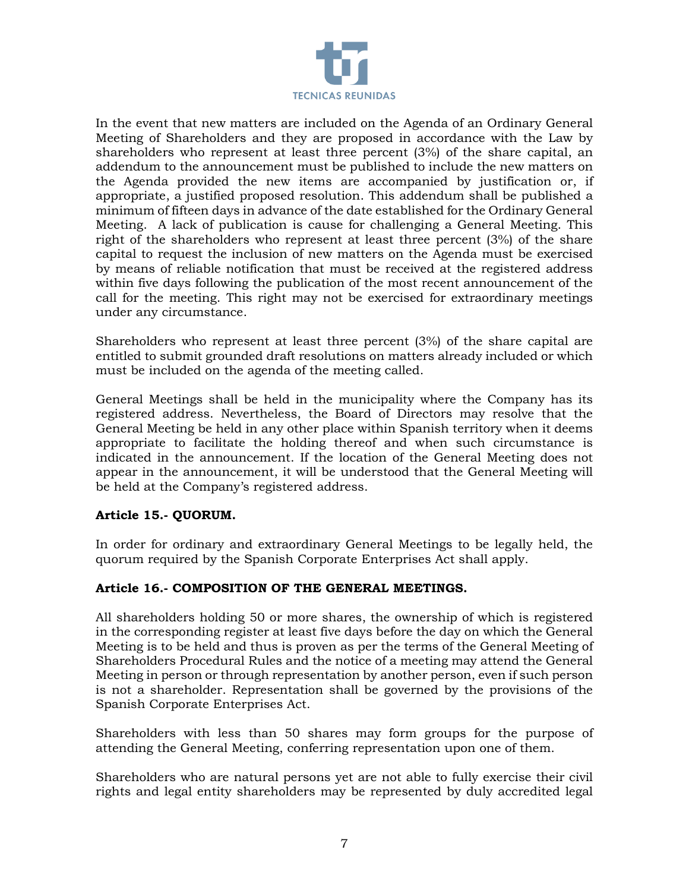

In the event that new matters are included on the Agenda of an Ordinary General Meeting of Shareholders and they are proposed in accordance with the Law by shareholders who represent at least three percent (3%) of the share capital, an addendum to the announcement must be published to include the new matters on the Agenda provided the new items are accompanied by justification or, if appropriate, a justified proposed resolution. This addendum shall be published a minimum of fifteen days in advance of the date established for the Ordinary General Meeting. A lack of publication is cause for challenging a General Meeting. This right of the shareholders who represent at least three percent (3%) of the share capital to request the inclusion of new matters on the Agenda must be exercised by means of reliable notification that must be received at the registered address within five days following the publication of the most recent announcement of the call for the meeting. This right may not be exercised for extraordinary meetings under any circumstance.

Shareholders who represent at least three percent (3%) of the share capital are entitled to submit grounded draft resolutions on matters already included or which must be included on the agenda of the meeting called.

General Meetings shall be held in the municipality where the Company has its registered address. Nevertheless, the Board of Directors may resolve that the General Meeting be held in any other place within Spanish territory when it deems appropriate to facilitate the holding thereof and when such circumstance is indicated in the announcement. If the location of the General Meeting does not appear in the announcement, it will be understood that the General Meeting will be held at the Company's registered address.

### **Article 15.- QUORUM.**

In order for ordinary and extraordinary General Meetings to be legally held, the quorum required by the Spanish Corporate Enterprises Act shall apply.

### **Article 16.- COMPOSITION OF THE GENERAL MEETINGS.**

All shareholders holding 50 or more shares, the ownership of which is registered in the corresponding register at least five days before the day on which the General Meeting is to be held and thus is proven as per the terms of the General Meeting of Shareholders Procedural Rules and the notice of a meeting may attend the General Meeting in person or through representation by another person, even if such person is not a shareholder. Representation shall be governed by the provisions of the Spanish Corporate Enterprises Act.

Shareholders with less than 50 shares may form groups for the purpose of attending the General Meeting, conferring representation upon one of them.

Shareholders who are natural persons yet are not able to fully exercise their civil rights and legal entity shareholders may be represented by duly accredited legal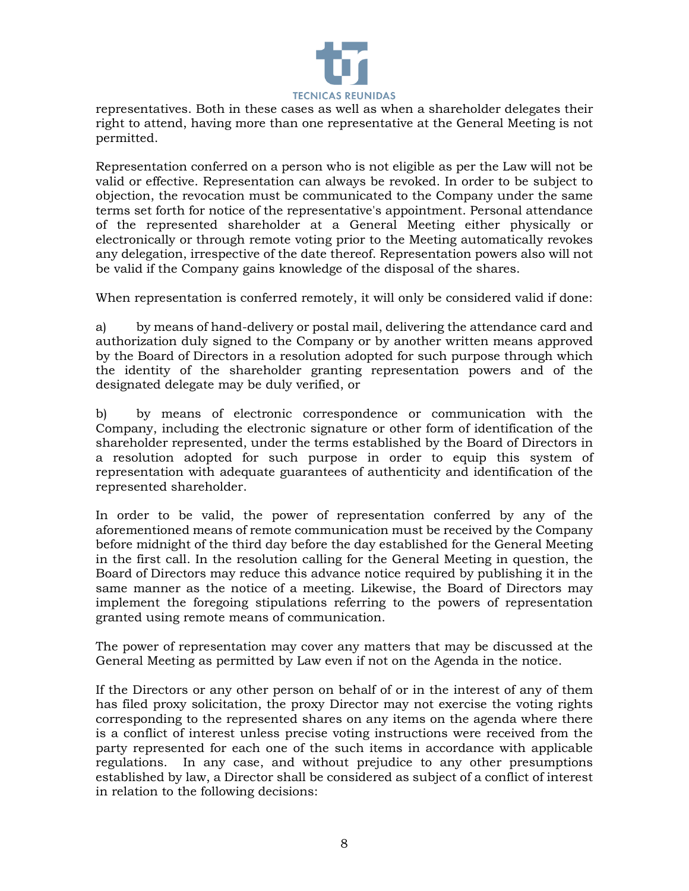

representatives. Both in these cases as well as when a shareholder delegates their right to attend, having more than one representative at the General Meeting is not permitted.

Representation conferred on a person who is not eligible as per the Law will not be valid or effective. Representation can always be revoked. In order to be subject to objection, the revocation must be communicated to the Company under the same terms set forth for notice of the representative's appointment. Personal attendance of the represented shareholder at a General Meeting either physically or electronically or through remote voting prior to the Meeting automatically revokes any delegation, irrespective of the date thereof. Representation powers also will not be valid if the Company gains knowledge of the disposal of the shares.

When representation is conferred remotely, it will only be considered valid if done:

a) by means of hand-delivery or postal mail, delivering the attendance card and authorization duly signed to the Company or by another written means approved by the Board of Directors in a resolution adopted for such purpose through which the identity of the shareholder granting representation powers and of the designated delegate may be duly verified, or

b) by means of electronic correspondence or communication with the Company, including the electronic signature or other form of identification of the shareholder represented, under the terms established by the Board of Directors in a resolution adopted for such purpose in order to equip this system of representation with adequate guarantees of authenticity and identification of the represented shareholder.

In order to be valid, the power of representation conferred by any of the aforementioned means of remote communication must be received by the Company before midnight of the third day before the day established for the General Meeting in the first call. In the resolution calling for the General Meeting in question, the Board of Directors may reduce this advance notice required by publishing it in the same manner as the notice of a meeting. Likewise, the Board of Directors may implement the foregoing stipulations referring to the powers of representation granted using remote means of communication.

The power of representation may cover any matters that may be discussed at the General Meeting as permitted by Law even if not on the Agenda in the notice.

If the Directors or any other person on behalf of or in the interest of any of them has filed proxy solicitation, the proxy Director may not exercise the voting rights corresponding to the represented shares on any items on the agenda where there is a conflict of interest unless precise voting instructions were received from the party represented for each one of the such items in accordance with applicable regulations. In any case, and without prejudice to any other presumptions established by law, a Director shall be considered as subject of a conflict of interest in relation to the following decisions: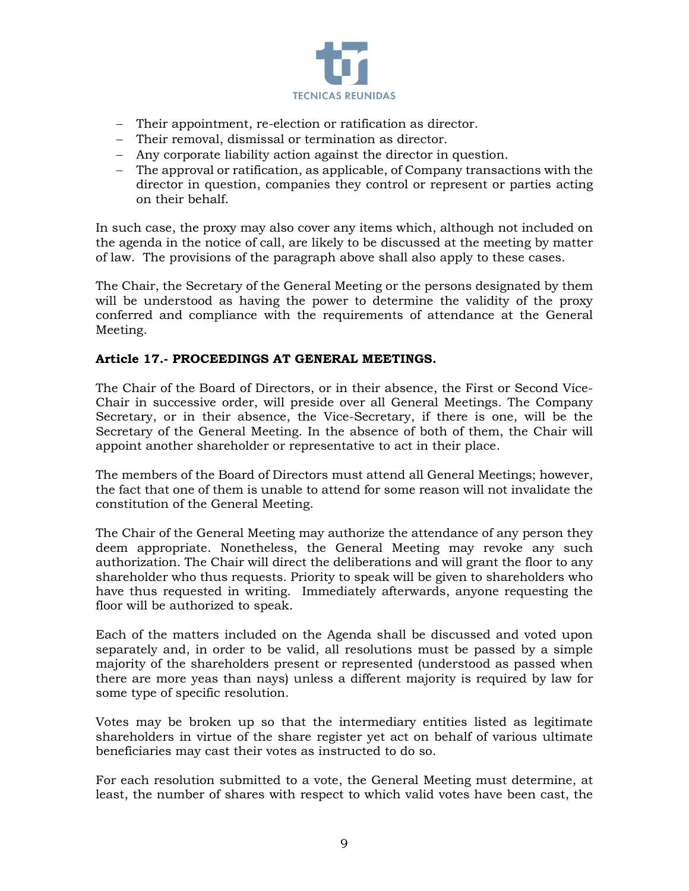

- − Their appointment, re-election or ratification as director.
- − Their removal, dismissal or termination as director.
- − Any corporate liability action against the director in question.
- − The approval or ratification, as applicable, of Company transactions with the director in question, companies they control or represent or parties acting on their behalf.

In such case, the proxy may also cover any items which, although not included on the agenda in the notice of call, are likely to be discussed at the meeting by matter of law. The provisions of the paragraph above shall also apply to these cases.

The Chair, the Secretary of the General Meeting or the persons designated by them will be understood as having the power to determine the validity of the proxy conferred and compliance with the requirements of attendance at the General Meeting.

# **Article 17.- PROCEEDINGS AT GENERAL MEETINGS.**

The Chair of the Board of Directors, or in their absence, the First or Second Vice-Chair in successive order, will preside over all General Meetings. The Company Secretary, or in their absence, the Vice-Secretary, if there is one, will be the Secretary of the General Meeting. In the absence of both of them, the Chair will appoint another shareholder or representative to act in their place.

The members of the Board of Directors must attend all General Meetings; however, the fact that one of them is unable to attend for some reason will not invalidate the constitution of the General Meeting.

The Chair of the General Meeting may authorize the attendance of any person they deem appropriate. Nonetheless, the General Meeting may revoke any such authorization. The Chair will direct the deliberations and will grant the floor to any shareholder who thus requests. Priority to speak will be given to shareholders who have thus requested in writing. Immediately afterwards, anyone requesting the floor will be authorized to speak.

Each of the matters included on the Agenda shall be discussed and voted upon separately and, in order to be valid, all resolutions must be passed by a simple majority of the shareholders present or represented (understood as passed when there are more yeas than nays) unless a different majority is required by law for some type of specific resolution.

Votes may be broken up so that the intermediary entities listed as legitimate shareholders in virtue of the share register yet act on behalf of various ultimate beneficiaries may cast their votes as instructed to do so.

For each resolution submitted to a vote, the General Meeting must determine, at least, the number of shares with respect to which valid votes have been cast, the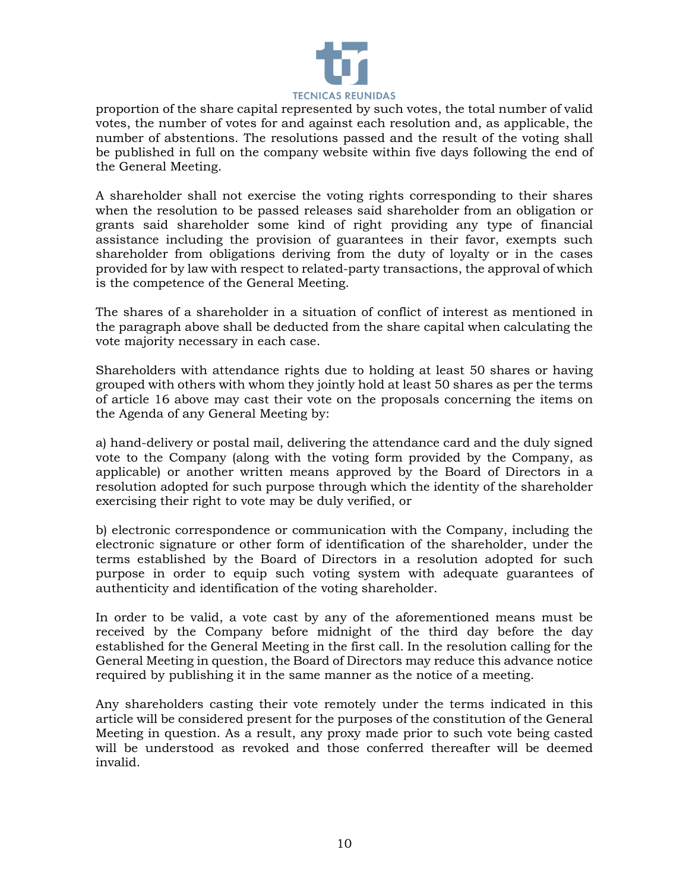

proportion of the share capital represented by such votes, the total number of valid votes, the number of votes for and against each resolution and, as applicable, the number of abstentions. The resolutions passed and the result of the voting shall be published in full on the company website within five days following the end of the General Meeting.

A shareholder shall not exercise the voting rights corresponding to their shares when the resolution to be passed releases said shareholder from an obligation or grants said shareholder some kind of right providing any type of financial assistance including the provision of guarantees in their favor, exempts such shareholder from obligations deriving from the duty of loyalty or in the cases provided for by law with respect to related-party transactions, the approval of which is the competence of the General Meeting.

The shares of a shareholder in a situation of conflict of interest as mentioned in the paragraph above shall be deducted from the share capital when calculating the vote majority necessary in each case.

Shareholders with attendance rights due to holding at least 50 shares or having grouped with others with whom they jointly hold at least 50 shares as per the terms of article 16 above may cast their vote on the proposals concerning the items on the Agenda of any General Meeting by:

a) hand-delivery or postal mail, delivering the attendance card and the duly signed vote to the Company (along with the voting form provided by the Company, as applicable) or another written means approved by the Board of Directors in a resolution adopted for such purpose through which the identity of the shareholder exercising their right to vote may be duly verified, or

b) electronic correspondence or communication with the Company, including the electronic signature or other form of identification of the shareholder, under the terms established by the Board of Directors in a resolution adopted for such purpose in order to equip such voting system with adequate guarantees of authenticity and identification of the voting shareholder.

In order to be valid, a vote cast by any of the aforementioned means must be received by the Company before midnight of the third day before the day established for the General Meeting in the first call. In the resolution calling for the General Meeting in question, the Board of Directors may reduce this advance notice required by publishing it in the same manner as the notice of a meeting.

Any shareholders casting their vote remotely under the terms indicated in this article will be considered present for the purposes of the constitution of the General Meeting in question. As a result, any proxy made prior to such vote being casted will be understood as revoked and those conferred thereafter will be deemed invalid.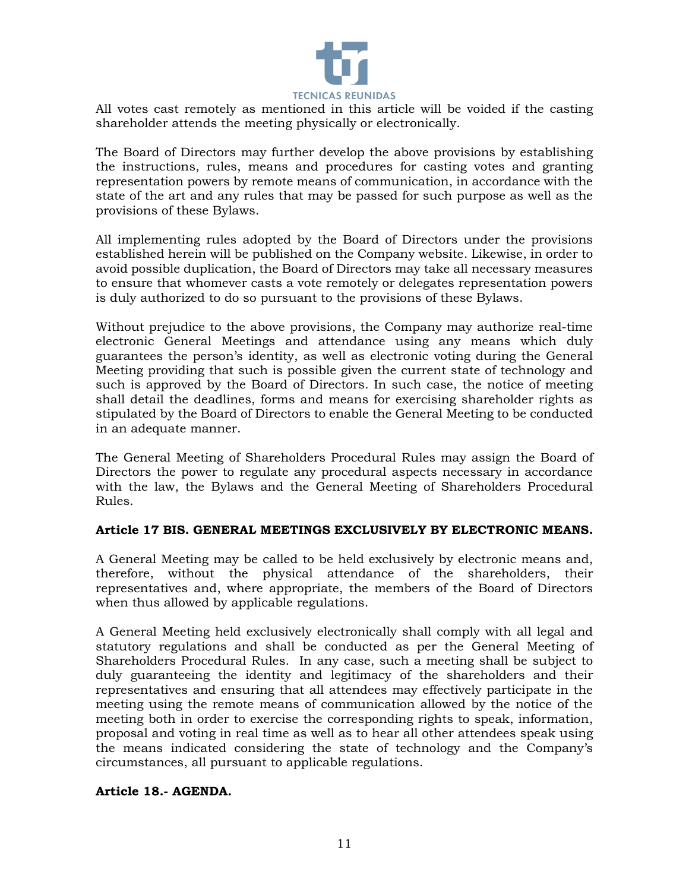

All votes cast remotely as mentioned in this article will be voided if the casting shareholder attends the meeting physically or electronically.

The Board of Directors may further develop the above provisions by establishing the instructions, rules, means and procedures for casting votes and granting representation powers by remote means of communication, in accordance with the state of the art and any rules that may be passed for such purpose as well as the provisions of these Bylaws.

All implementing rules adopted by the Board of Directors under the provisions established herein will be published on the Company website. Likewise, in order to avoid possible duplication, the Board of Directors may take all necessary measures to ensure that whomever casts a vote remotely or delegates representation powers is duly authorized to do so pursuant to the provisions of these Bylaws.

Without prejudice to the above provisions, the Company may authorize real-time electronic General Meetings and attendance using any means which duly guarantees the person's identity, as well as electronic voting during the General Meeting providing that such is possible given the current state of technology and such is approved by the Board of Directors. In such case, the notice of meeting shall detail the deadlines, forms and means for exercising shareholder rights as stipulated by the Board of Directors to enable the General Meeting to be conducted in an adequate manner.

The General Meeting of Shareholders Procedural Rules may assign the Board of Directors the power to regulate any procedural aspects necessary in accordance with the law, the Bylaws and the General Meeting of Shareholders Procedural Rules.

#### **Article 17 BIS. GENERAL MEETINGS EXCLUSIVELY BY ELECTRONIC MEANS.**

A General Meeting may be called to be held exclusively by electronic means and, therefore, without the physical attendance of the shareholders, their representatives and, where appropriate, the members of the Board of Directors when thus allowed by applicable regulations.

A General Meeting held exclusively electronically shall comply with all legal and statutory regulations and shall be conducted as per the General Meeting of Shareholders Procedural Rules. In any case, such a meeting shall be subject to duly guaranteeing the identity and legitimacy of the shareholders and their representatives and ensuring that all attendees may effectively participate in the meeting using the remote means of communication allowed by the notice of the meeting both in order to exercise the corresponding rights to speak, information, proposal and voting in real time as well as to hear all other attendees speak using the means indicated considering the state of technology and the Company's circumstances, all pursuant to applicable regulations.

#### **Article 18.- AGENDA.**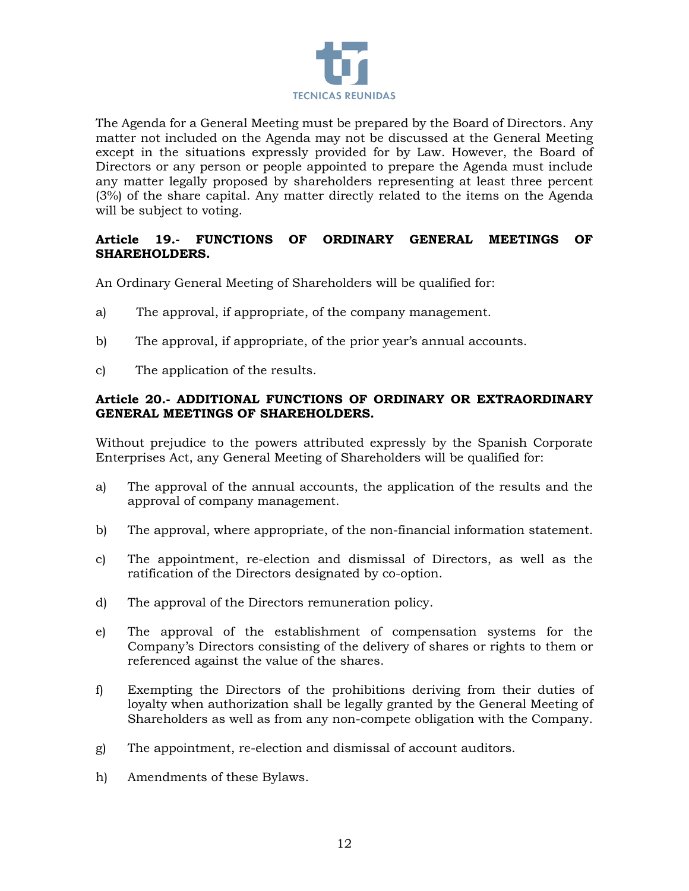

The Agenda for a General Meeting must be prepared by the Board of Directors. Any matter not included on the Agenda may not be discussed at the General Meeting except in the situations expressly provided for by Law. However, the Board of Directors or any person or people appointed to prepare the Agenda must include any matter legally proposed by shareholders representing at least three percent (3%) of the share capital. Any matter directly related to the items on the Agenda will be subject to voting.

### **Article 19.- FUNCTIONS OF ORDINARY GENERAL MEETINGS OF SHAREHOLDERS.**

An Ordinary General Meeting of Shareholders will be qualified for:

- a) The approval, if appropriate, of the company management.
- b) The approval, if appropriate, of the prior year's annual accounts.
- c) The application of the results.

### **Article 20.- ADDITIONAL FUNCTIONS OF ORDINARY OR EXTRAORDINARY GENERAL MEETINGS OF SHAREHOLDERS.**

Without prejudice to the powers attributed expressly by the Spanish Corporate Enterprises Act, any General Meeting of Shareholders will be qualified for:

- a) The approval of the annual accounts, the application of the results and the approval of company management.
- b) The approval, where appropriate, of the non-financial information statement.
- c) The appointment, re-election and dismissal of Directors, as well as the ratification of the Directors designated by co-option.
- d) The approval of the Directors remuneration policy.
- e) The approval of the establishment of compensation systems for the Company's Directors consisting of the delivery of shares or rights to them or referenced against the value of the shares.
- f) Exempting the Directors of the prohibitions deriving from their duties of loyalty when authorization shall be legally granted by the General Meeting of Shareholders as well as from any non-compete obligation with the Company.
- g) The appointment, re-election and dismissal of account auditors.
- h) Amendments of these Bylaws.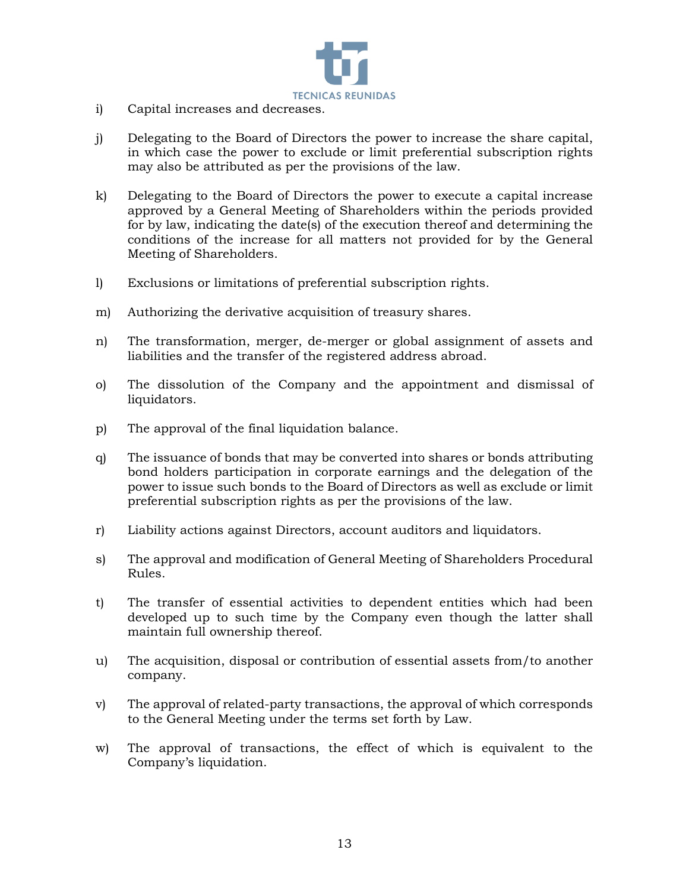

- i) Capital increases and decreases.
- j) Delegating to the Board of Directors the power to increase the share capital, in which case the power to exclude or limit preferential subscription rights may also be attributed as per the provisions of the law.
- k) Delegating to the Board of Directors the power to execute a capital increase approved by a General Meeting of Shareholders within the periods provided for by law, indicating the date(s) of the execution thereof and determining the conditions of the increase for all matters not provided for by the General Meeting of Shareholders.
- l) Exclusions or limitations of preferential subscription rights.
- m) Authorizing the derivative acquisition of treasury shares.
- n) The transformation, merger, de-merger or global assignment of assets and liabilities and the transfer of the registered address abroad.
- o) The dissolution of the Company and the appointment and dismissal of liquidators.
- p) The approval of the final liquidation balance.
- q) The issuance of bonds that may be converted into shares or bonds attributing bond holders participation in corporate earnings and the delegation of the power to issue such bonds to the Board of Directors as well as exclude or limit preferential subscription rights as per the provisions of the law.
- r) Liability actions against Directors, account auditors and liquidators.
- s) The approval and modification of General Meeting of Shareholders Procedural Rules.
- t) The transfer of essential activities to dependent entities which had been developed up to such time by the Company even though the latter shall maintain full ownership thereof.
- u) The acquisition, disposal or contribution of essential assets from/to another company.
- v) The approval of related-party transactions, the approval of which corresponds to the General Meeting under the terms set forth by Law.
- w) The approval of transactions, the effect of which is equivalent to the Company's liquidation.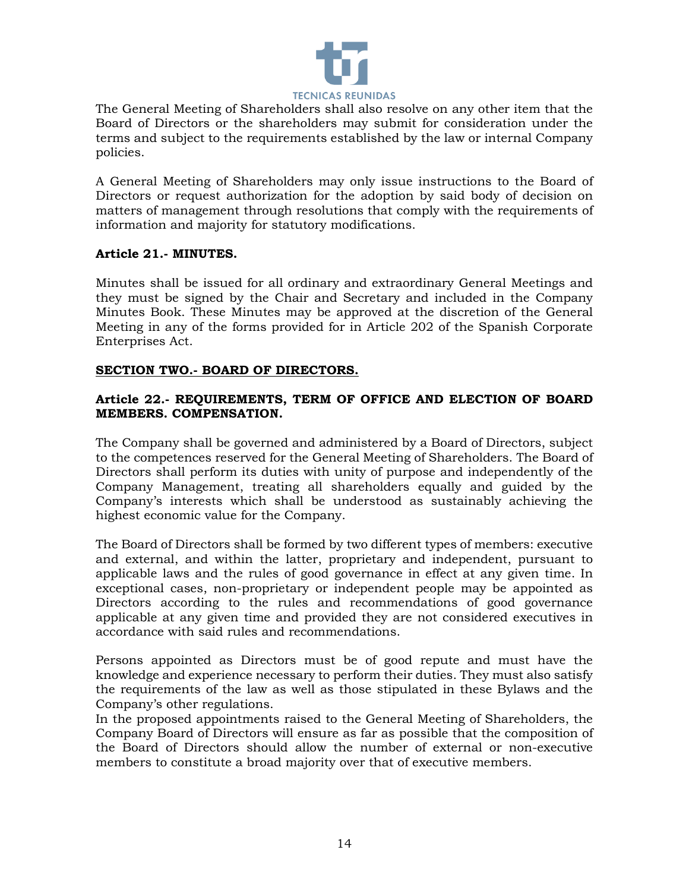

The General Meeting of Shareholders shall also resolve on any other item that the Board of Directors or the shareholders may submit for consideration under the terms and subject to the requirements established by the law or internal Company policies.

A General Meeting of Shareholders may only issue instructions to the Board of Directors or request authorization for the adoption by said body of decision on matters of management through resolutions that comply with the requirements of information and majority for statutory modifications.

### **Article 21.- MINUTES.**

Minutes shall be issued for all ordinary and extraordinary General Meetings and they must be signed by the Chair and Secretary and included in the Company Minutes Book. These Minutes may be approved at the discretion of the General Meeting in any of the forms provided for in Article 202 of the Spanish Corporate Enterprises Act.

# **SECTION TWO.- BOARD OF DIRECTORS.**

### **Article 22.- REQUIREMENTS, TERM OF OFFICE AND ELECTION OF BOARD MEMBERS. COMPENSATION.**

The Company shall be governed and administered by a Board of Directors, subject to the competences reserved for the General Meeting of Shareholders. The Board of Directors shall perform its duties with unity of purpose and independently of the Company Management, treating all shareholders equally and guided by the Company's interests which shall be understood as sustainably achieving the highest economic value for the Company.

The Board of Directors shall be formed by two different types of members: executive and external, and within the latter, proprietary and independent, pursuant to applicable laws and the rules of good governance in effect at any given time. In exceptional cases, non-proprietary or independent people may be appointed as Directors according to the rules and recommendations of good governance applicable at any given time and provided they are not considered executives in accordance with said rules and recommendations.

Persons appointed as Directors must be of good repute and must have the knowledge and experience necessary to perform their duties. They must also satisfy the requirements of the law as well as those stipulated in these Bylaws and the Company's other regulations.

In the proposed appointments raised to the General Meeting of Shareholders, the Company Board of Directors will ensure as far as possible that the composition of the Board of Directors should allow the number of external or non-executive members to constitute a broad majority over that of executive members.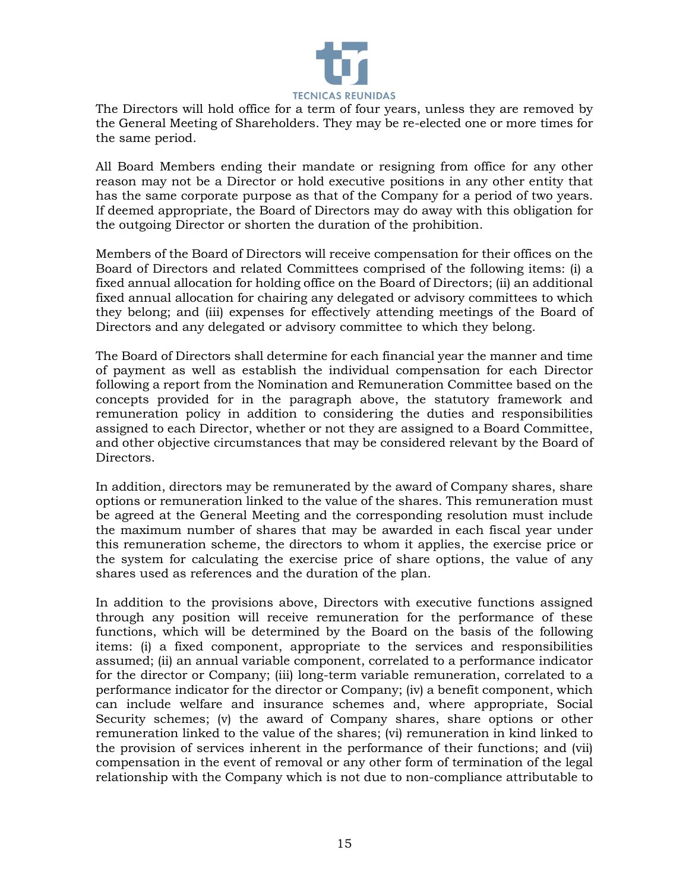

The Directors will hold office for a term of four years, unless they are removed by the General Meeting of Shareholders. They may be re-elected one or more times for the same period.

All Board Members ending their mandate or resigning from office for any other reason may not be a Director or hold executive positions in any other entity that has the same corporate purpose as that of the Company for a period of two years. If deemed appropriate, the Board of Directors may do away with this obligation for the outgoing Director or shorten the duration of the prohibition.

Members of the Board of Directors will receive compensation for their offices on the Board of Directors and related Committees comprised of the following items: (i) a fixed annual allocation for holding office on the Board of Directors; (ii) an additional fixed annual allocation for chairing any delegated or advisory committees to which they belong; and (iii) expenses for effectively attending meetings of the Board of Directors and any delegated or advisory committee to which they belong.

The Board of Directors shall determine for each financial year the manner and time of payment as well as establish the individual compensation for each Director following a report from the Nomination and Remuneration Committee based on the concepts provided for in the paragraph above, the statutory framework and remuneration policy in addition to considering the duties and responsibilities assigned to each Director, whether or not they are assigned to a Board Committee, and other objective circumstances that may be considered relevant by the Board of Directors.

In addition, directors may be remunerated by the award of Company shares, share options or remuneration linked to the value of the shares. This remuneration must be agreed at the General Meeting and the corresponding resolution must include the maximum number of shares that may be awarded in each fiscal year under this remuneration scheme, the directors to whom it applies, the exercise price or the system for calculating the exercise price of share options, the value of any shares used as references and the duration of the plan.

In addition to the provisions above, Directors with executive functions assigned through any position will receive remuneration for the performance of these functions, which will be determined by the Board on the basis of the following items: (i) a fixed component, appropriate to the services and responsibilities assumed; (ii) an annual variable component, correlated to a performance indicator for the director or Company; (iii) long-term variable remuneration, correlated to a performance indicator for the director or Company; (iv) a benefit component, which can include welfare and insurance schemes and, where appropriate, Social Security schemes; (v) the award of Company shares, share options or other remuneration linked to the value of the shares; (vi) remuneration in kind linked to the provision of services inherent in the performance of their functions; and (vii) compensation in the event of removal or any other form of termination of the legal relationship with the Company which is not due to non-compliance attributable to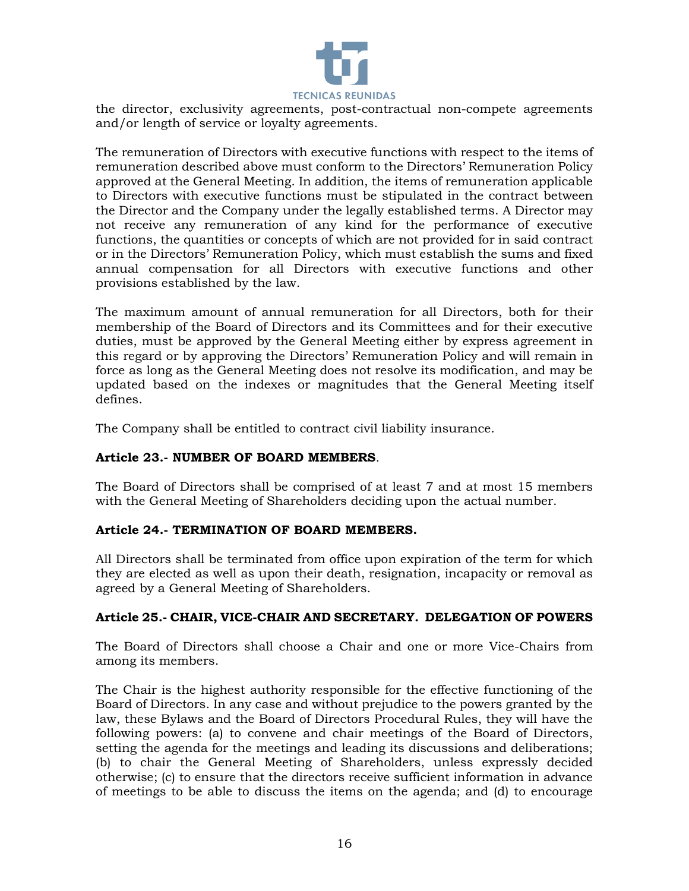

the director, exclusivity agreements, post-contractual non-compete agreements and/or length of service or loyalty agreements.

The remuneration of Directors with executive functions with respect to the items of remuneration described above must conform to the Directors' Remuneration Policy approved at the General Meeting. In addition, the items of remuneration applicable to Directors with executive functions must be stipulated in the contract between the Director and the Company under the legally established terms. A Director may not receive any remuneration of any kind for the performance of executive functions, the quantities or concepts of which are not provided for in said contract or in the Directors' Remuneration Policy, which must establish the sums and fixed annual compensation for all Directors with executive functions and other provisions established by the law.

The maximum amount of annual remuneration for all Directors, both for their membership of the Board of Directors and its Committees and for their executive duties, must be approved by the General Meeting either by express agreement in this regard or by approving the Directors' Remuneration Policy and will remain in force as long as the General Meeting does not resolve its modification, and may be updated based on the indexes or magnitudes that the General Meeting itself defines.

The Company shall be entitled to contract civil liability insurance.

### **Article 23.- NUMBER OF BOARD MEMBERS**.

The Board of Directors shall be comprised of at least 7 and at most 15 members with the General Meeting of Shareholders deciding upon the actual number.

### **Article 24.- TERMINATION OF BOARD MEMBERS.**

All Directors shall be terminated from office upon expiration of the term for which they are elected as well as upon their death, resignation, incapacity or removal as agreed by a General Meeting of Shareholders.

### **Article 25.- CHAIR, VICE-CHAIR AND SECRETARY. DELEGATION OF POWERS**

The Board of Directors shall choose a Chair and one or more Vice-Chairs from among its members.

The Chair is the highest authority responsible for the effective functioning of the Board of Directors. In any case and without prejudice to the powers granted by the law, these Bylaws and the Board of Directors Procedural Rules, they will have the following powers: (a) to convene and chair meetings of the Board of Directors, setting the agenda for the meetings and leading its discussions and deliberations; (b) to chair the General Meeting of Shareholders, unless expressly decided otherwise; (c) to ensure that the directors receive sufficient information in advance of meetings to be able to discuss the items on the agenda; and (d) to encourage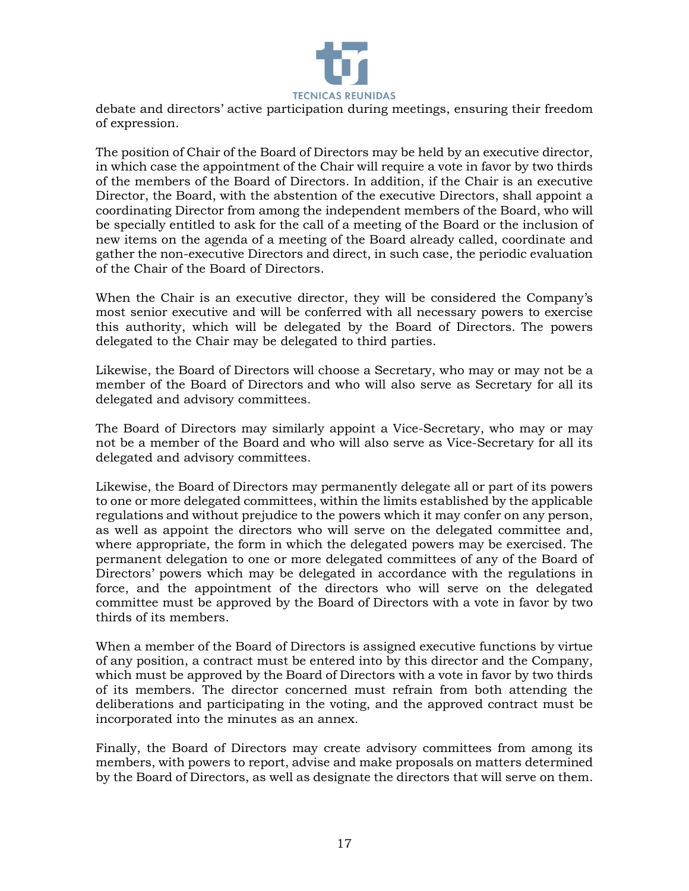

debate and directors' active participation during meetings, ensuring their freedom of expression.

The position of Chair of the Board of Directors may be held by an executive director, in which case the appointment of the Chair will require a vote in favor by two thirds of the members of the Board of Directors. In addition, if the Chair is an executive Director, the Board, with the abstention of the executive Directors, shall appoint a coordinating Director from among the independent members of the Board, who will be specially entitled to ask for the call of a meeting of the Board or the inclusion of new items on the agenda of a meeting of the Board already called, coordinate and gather the non-executive Directors and direct, in such case, the periodic evaluation of the Chair of the Board of Directors.

When the Chair is an executive director, they will be considered the Company's most senior executive and will be conferred with all necessary powers to exercise this authority, which will be delegated by the Board of Directors. The powers delegated to the Chair may be delegated to third parties.

Likewise, the Board of Directors will choose a Secretary, who may or may not be a member of the Board of Directors and who will also serve as Secretary for all its delegated and advisory committees.

The Board of Directors may similarly appoint a Vice-Secretary, who may or may not be a member of the Board and who will also serve as Vice-Secretary for all its delegated and advisory committees.

Likewise, the Board of Directors may permanently delegate all or part of its powers to one or more delegated committees, within the limits established by the applicable regulations and without prejudice to the powers which it may confer on any person, as well as appoint the directors who will serve on the delegated committee and, where appropriate, the form in which the delegated powers may be exercised. The permanent delegation to one or more delegated committees of any of the Board of Directors' powers which may be delegated in accordance with the regulations in force, and the appointment of the directors who will serve on the delegated committee must be approved by the Board of Directors with a vote in favor by two thirds of its members.

When a member of the Board of Directors is assigned executive functions by virtue of any position, a contract must be entered into by this director and the Company, which must be approved by the Board of Directors with a vote in favor by two thirds of its members. The director concerned must refrain from both attending the deliberations and participating in the voting, and the approved contract must be incorporated into the minutes as an annex.

Finally, the Board of Directors may create advisory committees from among its members, with powers to report, advise and make proposals on matters determined by the Board of Directors, as well as designate the directors that will serve on them.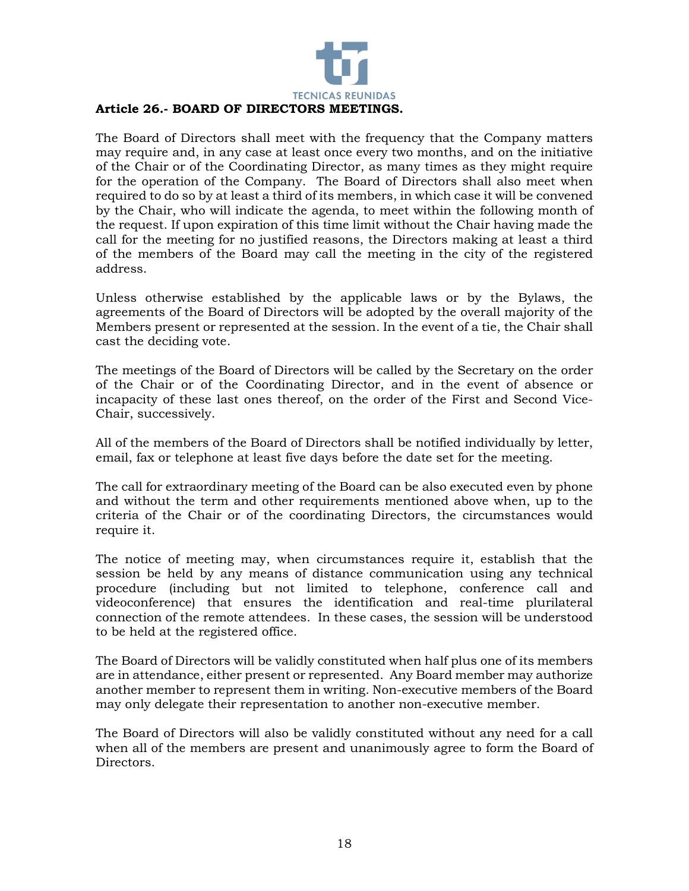

The Board of Directors shall meet with the frequency that the Company matters may require and, in any case at least once every two months, and on the initiative of the Chair or of the Coordinating Director, as many times as they might require for the operation of the Company. The Board of Directors shall also meet when required to do so by at least a third of its members, in which case it will be convened by the Chair, who will indicate the agenda, to meet within the following month of the request. If upon expiration of this time limit without the Chair having made the call for the meeting for no justified reasons, the Directors making at least a third of the members of the Board may call the meeting in the city of the registered address.

Unless otherwise established by the applicable laws or by the Bylaws, the agreements of the Board of Directors will be adopted by the overall majority of the Members present or represented at the session. In the event of a tie, the Chair shall cast the deciding vote.

The meetings of the Board of Directors will be called by the Secretary on the order of the Chair or of the Coordinating Director, and in the event of absence or incapacity of these last ones thereof, on the order of the First and Second Vice-Chair, successively.

All of the members of the Board of Directors shall be notified individually by letter, email, fax or telephone at least five days before the date set for the meeting.

The call for extraordinary meeting of the Board can be also executed even by phone and without the term and other requirements mentioned above when, up to the criteria of the Chair or of the coordinating Directors, the circumstances would require it.

The notice of meeting may, when circumstances require it, establish that the session be held by any means of distance communication using any technical procedure (including but not limited to telephone, conference call and videoconference) that ensures the identification and real-time plurilateral connection of the remote attendees. In these cases, the session will be understood to be held at the registered office.

The Board of Directors will be validly constituted when half plus one of its members are in attendance, either present or represented. Any Board member may authorize another member to represent them in writing. Non-executive members of the Board may only delegate their representation to another non-executive member.

The Board of Directors will also be validly constituted without any need for a call when all of the members are present and unanimously agree to form the Board of Directors.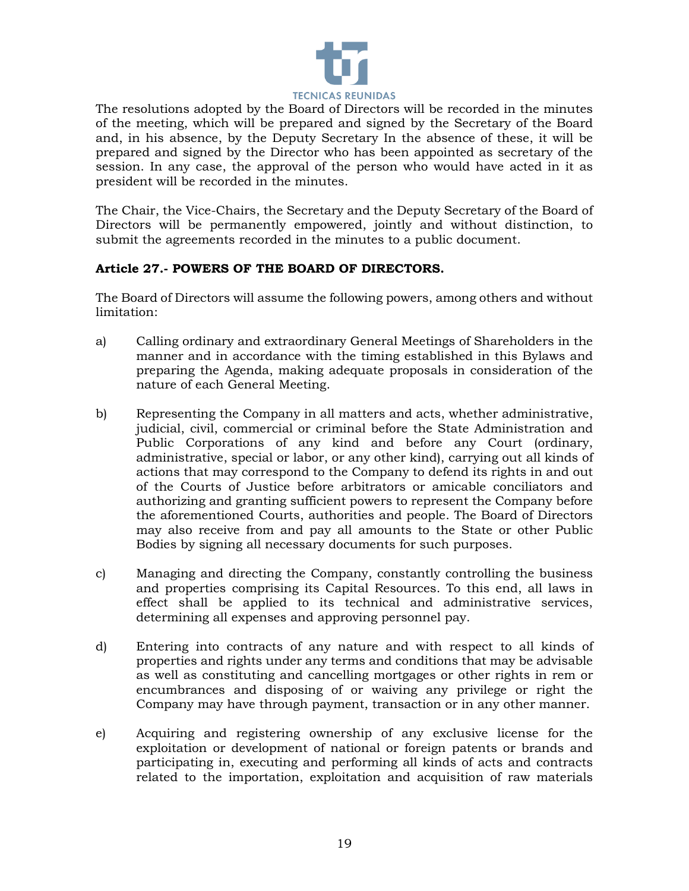

The resolutions adopted by the Board of Directors will be recorded in the minutes of the meeting, which will be prepared and signed by the Secretary of the Board and, in his absence, by the Deputy Secretary In the absence of these, it will be prepared and signed by the Director who has been appointed as secretary of the session. In any case, the approval of the person who would have acted in it as president will be recorded in the minutes.

The Chair, the Vice-Chairs, the Secretary and the Deputy Secretary of the Board of Directors will be permanently empowered, jointly and without distinction, to submit the agreements recorded in the minutes to a public document.

# **Article 27.- POWERS OF THE BOARD OF DIRECTORS.**

The Board of Directors will assume the following powers, among others and without limitation:

- a) Calling ordinary and extraordinary General Meetings of Shareholders in the manner and in accordance with the timing established in this Bylaws and preparing the Agenda, making adequate proposals in consideration of the nature of each General Meeting.
- b) Representing the Company in all matters and acts, whether administrative, judicial, civil, commercial or criminal before the State Administration and Public Corporations of any kind and before any Court (ordinary, administrative, special or labor, or any other kind), carrying out all kinds of actions that may correspond to the Company to defend its rights in and out of the Courts of Justice before arbitrators or amicable conciliators and authorizing and granting sufficient powers to represent the Company before the aforementioned Courts, authorities and people. The Board of Directors may also receive from and pay all amounts to the State or other Public Bodies by signing all necessary documents for such purposes.
- c) Managing and directing the Company, constantly controlling the business and properties comprising its Capital Resources. To this end, all laws in effect shall be applied to its technical and administrative services, determining all expenses and approving personnel pay.
- d) Entering into contracts of any nature and with respect to all kinds of properties and rights under any terms and conditions that may be advisable as well as constituting and cancelling mortgages or other rights in rem or encumbrances and disposing of or waiving any privilege or right the Company may have through payment, transaction or in any other manner.
- e) Acquiring and registering ownership of any exclusive license for the exploitation or development of national or foreign patents or brands and participating in, executing and performing all kinds of acts and contracts related to the importation, exploitation and acquisition of raw materials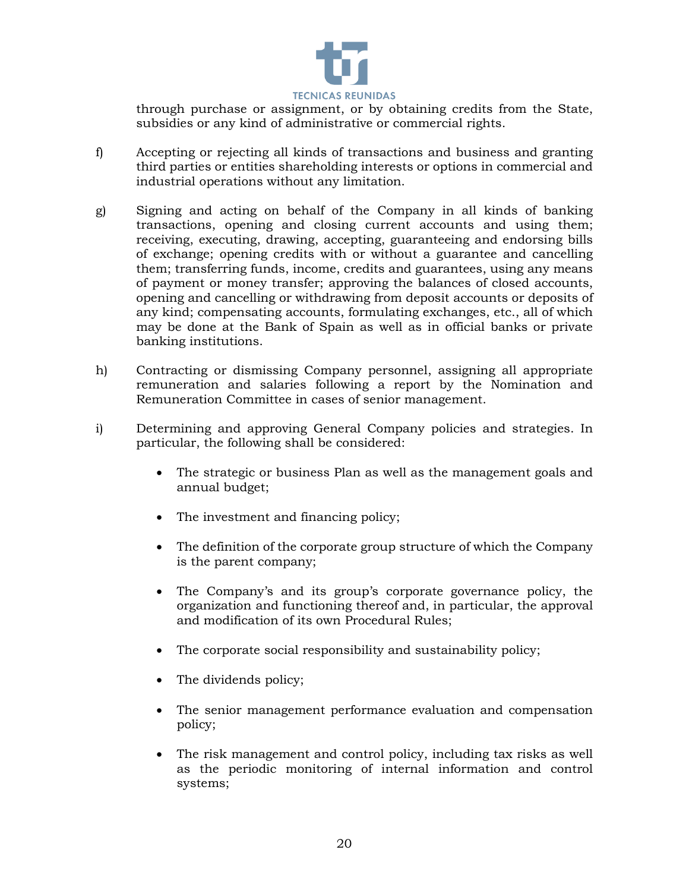

through purchase or assignment, or by obtaining credits from the State, subsidies or any kind of administrative or commercial rights.

- f) Accepting or rejecting all kinds of transactions and business and granting third parties or entities shareholding interests or options in commercial and industrial operations without any limitation.
- g) Signing and acting on behalf of the Company in all kinds of banking transactions, opening and closing current accounts and using them; receiving, executing, drawing, accepting, guaranteeing and endorsing bills of exchange; opening credits with or without a guarantee and cancelling them; transferring funds, income, credits and guarantees, using any means of payment or money transfer; approving the balances of closed accounts, opening and cancelling or withdrawing from deposit accounts or deposits of any kind; compensating accounts, formulating exchanges, etc., all of which may be done at the Bank of Spain as well as in official banks or private banking institutions.
- h) Contracting or dismissing Company personnel, assigning all appropriate remuneration and salaries following a report by the Nomination and Remuneration Committee in cases of senior management.
- i) Determining and approving General Company policies and strategies. In particular, the following shall be considered:
	- The strategic or business Plan as well as the management goals and annual budget;
	- The investment and financing policy;
	- The definition of the corporate group structure of which the Company is the parent company;
	- The Company's and its group's corporate governance policy, the organization and functioning thereof and, in particular, the approval and modification of its own Procedural Rules;
	- The corporate social responsibility and sustainability policy;
	- The dividends policy;
	- The senior management performance evaluation and compensation policy;
	- The risk management and control policy, including tax risks as well as the periodic monitoring of internal information and control systems;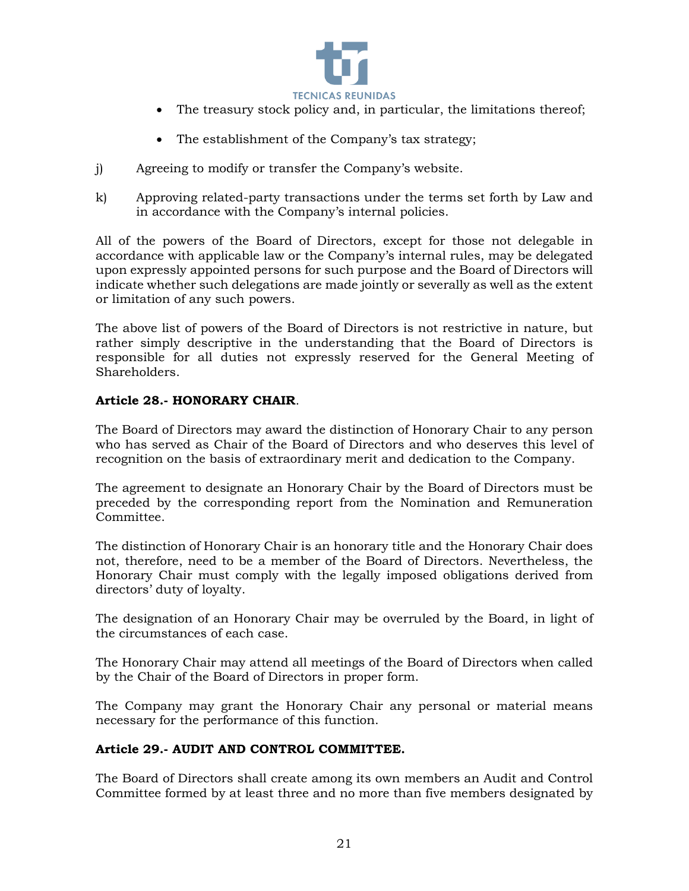

- The treasury stock policy and, in particular, the limitations thereof;
- The establishment of the Company's tax strategy;
- j) Agreeing to modify or transfer the Company's website.
- k) Approving related-party transactions under the terms set forth by Law and in accordance with the Company's internal policies.

All of the powers of the Board of Directors, except for those not delegable in accordance with applicable law or the Company's internal rules, may be delegated upon expressly appointed persons for such purpose and the Board of Directors will indicate whether such delegations are made jointly or severally as well as the extent or limitation of any such powers.

The above list of powers of the Board of Directors is not restrictive in nature, but rather simply descriptive in the understanding that the Board of Directors is responsible for all duties not expressly reserved for the General Meeting of Shareholders.

### **Article 28.- HONORARY CHAIR**.

The Board of Directors may award the distinction of Honorary Chair to any person who has served as Chair of the Board of Directors and who deserves this level of recognition on the basis of extraordinary merit and dedication to the Company.

The agreement to designate an Honorary Chair by the Board of Directors must be preceded by the corresponding report from the Nomination and Remuneration Committee.

The distinction of Honorary Chair is an honorary title and the Honorary Chair does not, therefore, need to be a member of the Board of Directors. Nevertheless, the Honorary Chair must comply with the legally imposed obligations derived from directors' duty of loyalty.

The designation of an Honorary Chair may be overruled by the Board, in light of the circumstances of each case.

The Honorary Chair may attend all meetings of the Board of Directors when called by the Chair of the Board of Directors in proper form.

The Company may grant the Honorary Chair any personal or material means necessary for the performance of this function.

### **Article 29.- AUDIT AND CONTROL COMMITTEE.**

The Board of Directors shall create among its own members an Audit and Control Committee formed by at least three and no more than five members designated by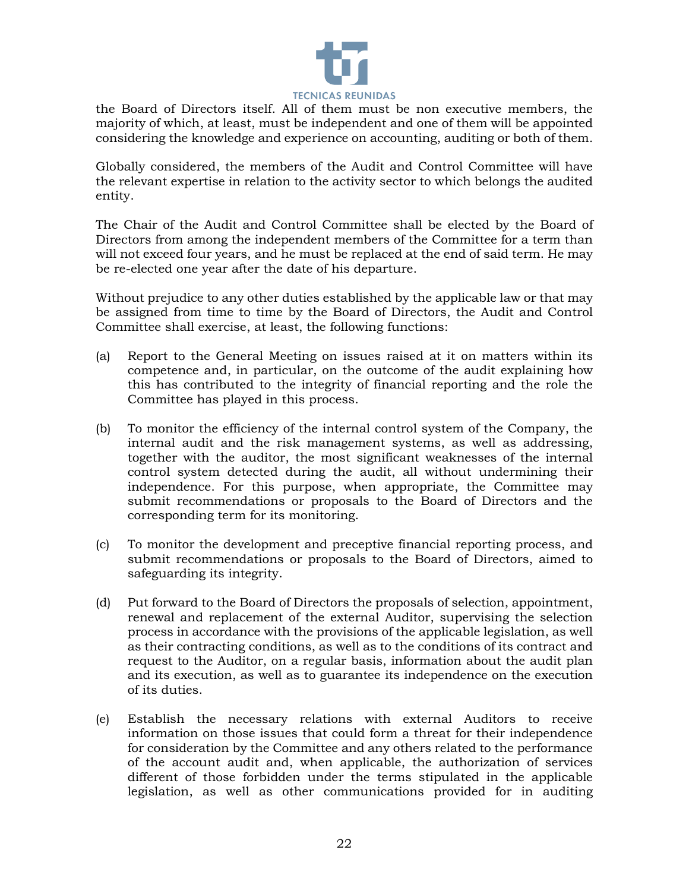

the Board of Directors itself. All of them must be non executive members, the majority of which, at least, must be independent and one of them will be appointed considering the knowledge and experience on accounting, auditing or both of them.

Globally considered, the members of the Audit and Control Committee will have the relevant expertise in relation to the activity sector to which belongs the audited entity.

The Chair of the Audit and Control Committee shall be elected by the Board of Directors from among the independent members of the Committee for a term than will not exceed four years, and he must be replaced at the end of said term. He may be re-elected one year after the date of his departure.

Without prejudice to any other duties established by the applicable law or that may be assigned from time to time by the Board of Directors, the Audit and Control Committee shall exercise, at least, the following functions:

- (a) Report to the General Meeting on issues raised at it on matters within its competence and, in particular, on the outcome of the audit explaining how this has contributed to the integrity of financial reporting and the role the Committee has played in this process.
- (b) To monitor the efficiency of the internal control system of the Company, the internal audit and the risk management systems, as well as addressing, together with the auditor, the most significant weaknesses of the internal control system detected during the audit, all without undermining their independence. For this purpose, when appropriate, the Committee may submit recommendations or proposals to the Board of Directors and the corresponding term for its monitoring.
- (c) To monitor the development and preceptive financial reporting process, and submit recommendations or proposals to the Board of Directors, aimed to safeguarding its integrity.
- (d) Put forward to the Board of Directors the proposals of selection, appointment, renewal and replacement of the external Auditor, supervising the selection process in accordance with the provisions of the applicable legislation, as well as their contracting conditions, as well as to the conditions of its contract and request to the Auditor, on a regular basis, information about the audit plan and its execution, as well as to guarantee its independence on the execution of its duties.
- (e) Establish the necessary relations with external Auditors to receive information on those issues that could form a threat for their independence for consideration by the Committee and any others related to the performance of the account audit and, when applicable, the authorization of services different of those forbidden under the terms stipulated in the applicable legislation, as well as other communications provided for in auditing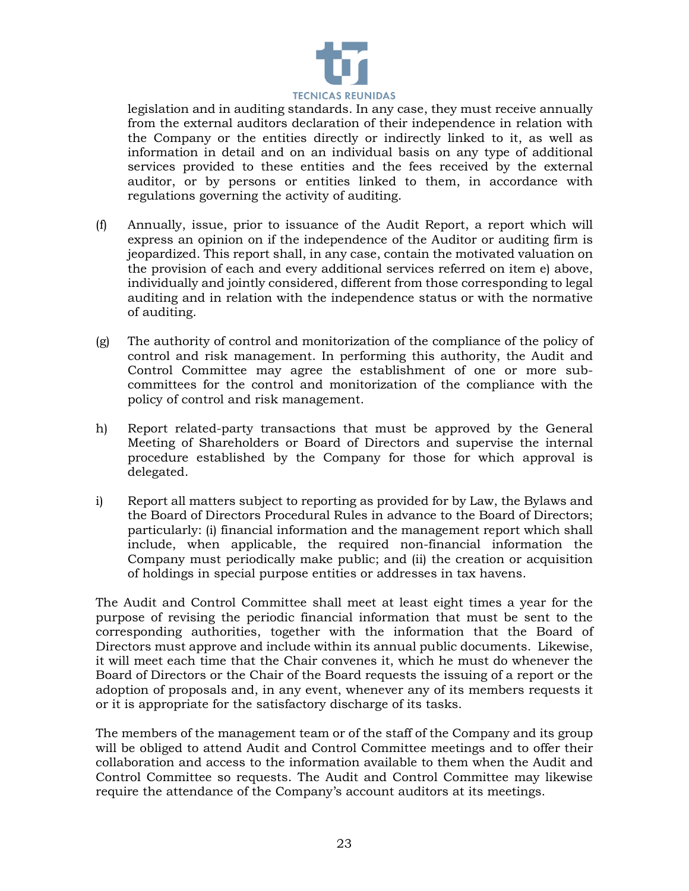

legislation and in auditing standards. In any case, they must receive annually from the external auditors declaration of their independence in relation with the Company or the entities directly or indirectly linked to it, as well as information in detail and on an individual basis on any type of additional services provided to these entities and the fees received by the external auditor, or by persons or entities linked to them, in accordance with regulations governing the activity of auditing.

- (f) Annually, issue, prior to issuance of the Audit Report, a report which will express an opinion on if the independence of the Auditor or auditing firm is jeopardized. This report shall, in any case, contain the motivated valuation on the provision of each and every additional services referred on item e) above, individually and jointly considered, different from those corresponding to legal auditing and in relation with the independence status or with the normative of auditing.
- (g) The authority of control and monitorization of the compliance of the policy of control and risk management. In performing this authority, the Audit and Control Committee may agree the establishment of one or more subcommittees for the control and monitorization of the compliance with the policy of control and risk management.
- h) Report related-party transactions that must be approved by the General Meeting of Shareholders or Board of Directors and supervise the internal procedure established by the Company for those for which approval is delegated.
- i) Report all matters subject to reporting as provided for by Law, the Bylaws and the Board of Directors Procedural Rules in advance to the Board of Directors; particularly: (i) financial information and the management report which shall include, when applicable, the required non-financial information the Company must periodically make public; and (ii) the creation or acquisition of holdings in special purpose entities or addresses in tax havens.

The Audit and Control Committee shall meet at least eight times a year for the purpose of revising the periodic financial information that must be sent to the corresponding authorities, together with the information that the Board of Directors must approve and include within its annual public documents. Likewise, it will meet each time that the Chair convenes it, which he must do whenever the Board of Directors or the Chair of the Board requests the issuing of a report or the adoption of proposals and, in any event, whenever any of its members requests it or it is appropriate for the satisfactory discharge of its tasks.

The members of the management team or of the staff of the Company and its group will be obliged to attend Audit and Control Committee meetings and to offer their collaboration and access to the information available to them when the Audit and Control Committee so requests. The Audit and Control Committee may likewise require the attendance of the Company's account auditors at its meetings.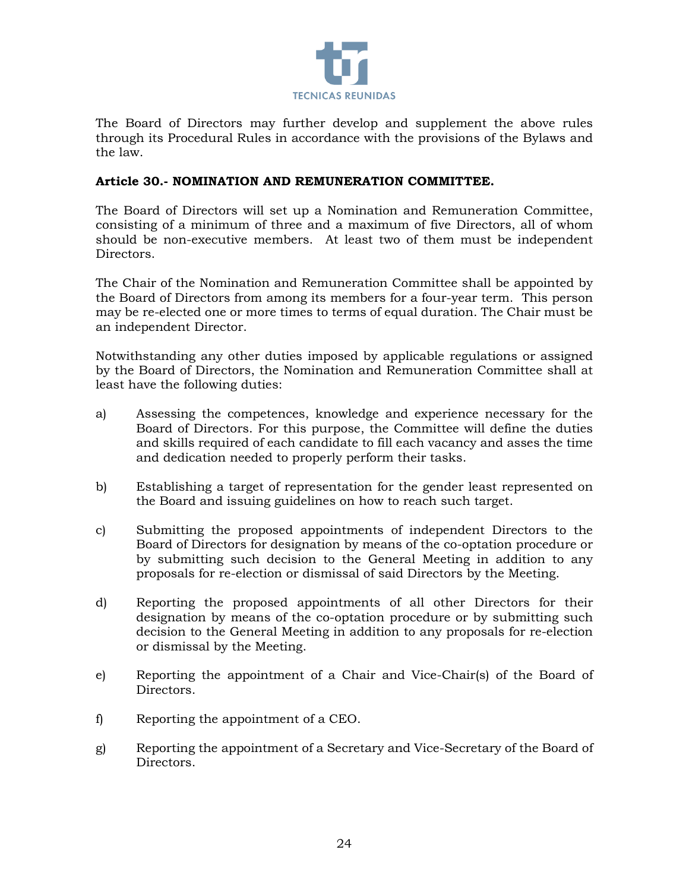

The Board of Directors may further develop and supplement the above rules through its Procedural Rules in accordance with the provisions of the Bylaws and the law.

#### **Article 30.- NOMINATION AND REMUNERATION COMMITTEE.**

The Board of Directors will set up a Nomination and Remuneration Committee, consisting of a minimum of three and a maximum of five Directors, all of whom should be non-executive members. At least two of them must be independent Directors.

The Chair of the Nomination and Remuneration Committee shall be appointed by the Board of Directors from among its members for a four-year term. This person may be re-elected one or more times to terms of equal duration. The Chair must be an independent Director.

Notwithstanding any other duties imposed by applicable regulations or assigned by the Board of Directors, the Nomination and Remuneration Committee shall at least have the following duties:

- a) Assessing the competences, knowledge and experience necessary for the Board of Directors. For this purpose, the Committee will define the duties and skills required of each candidate to fill each vacancy and asses the time and dedication needed to properly perform their tasks.
- b) Establishing a target of representation for the gender least represented on the Board and issuing guidelines on how to reach such target.
- c) Submitting the proposed appointments of independent Directors to the Board of Directors for designation by means of the co-optation procedure or by submitting such decision to the General Meeting in addition to any proposals for re-election or dismissal of said Directors by the Meeting.
- d) Reporting the proposed appointments of all other Directors for their designation by means of the co-optation procedure or by submitting such decision to the General Meeting in addition to any proposals for re-election or dismissal by the Meeting.
- e) Reporting the appointment of a Chair and Vice-Chair(s) of the Board of Directors.
- f) Reporting the appointment of a CEO.
- g) Reporting the appointment of a Secretary and Vice-Secretary of the Board of Directors.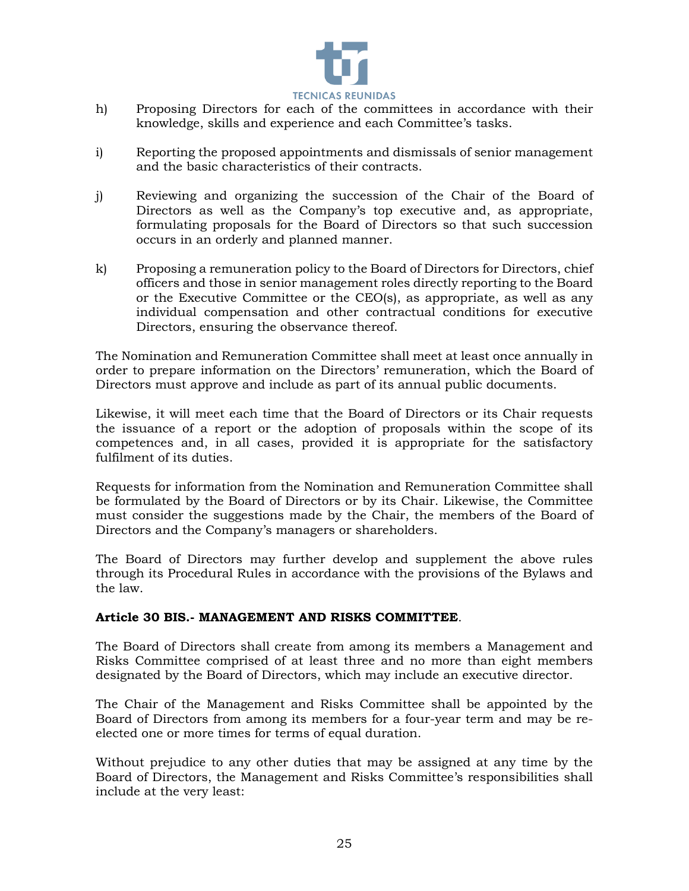

- h) Proposing Directors for each of the committees in accordance with their knowledge, skills and experience and each Committee's tasks.
- i) Reporting the proposed appointments and dismissals of senior management and the basic characteristics of their contracts.
- j) Reviewing and organizing the succession of the Chair of the Board of Directors as well as the Company's top executive and, as appropriate, formulating proposals for the Board of Directors so that such succession occurs in an orderly and planned manner.
- k) Proposing a remuneration policy to the Board of Directors for Directors, chief officers and those in senior management roles directly reporting to the Board or the Executive Committee or the CEO(s), as appropriate, as well as any individual compensation and other contractual conditions for executive Directors, ensuring the observance thereof.

The Nomination and Remuneration Committee shall meet at least once annually in order to prepare information on the Directors' remuneration, which the Board of Directors must approve and include as part of its annual public documents.

Likewise, it will meet each time that the Board of Directors or its Chair requests the issuance of a report or the adoption of proposals within the scope of its competences and, in all cases, provided it is appropriate for the satisfactory fulfilment of its duties.

Requests for information from the Nomination and Remuneration Committee shall be formulated by the Board of Directors or by its Chair. Likewise, the Committee must consider the suggestions made by the Chair, the members of the Board of Directors and the Company's managers or shareholders.

The Board of Directors may further develop and supplement the above rules through its Procedural Rules in accordance with the provisions of the Bylaws and the law.

### **Article 30 BIS.- MANAGEMENT AND RISKS COMMITTEE**.

The Board of Directors shall create from among its members a Management and Risks Committee comprised of at least three and no more than eight members designated by the Board of Directors, which may include an executive director.

The Chair of the Management and Risks Committee shall be appointed by the Board of Directors from among its members for a four-year term and may be reelected one or more times for terms of equal duration.

Without prejudice to any other duties that may be assigned at any time by the Board of Directors, the Management and Risks Committee's responsibilities shall include at the very least: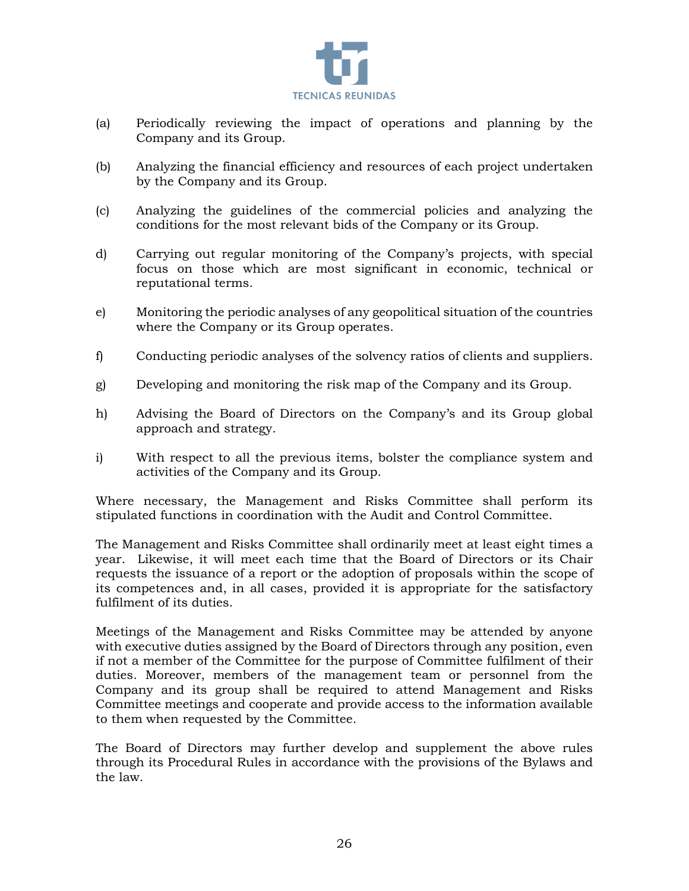

- (a) Periodically reviewing the impact of operations and planning by the Company and its Group.
- (b) Analyzing the financial efficiency and resources of each project undertaken by the Company and its Group.
- (c) Analyzing the guidelines of the commercial policies and analyzing the conditions for the most relevant bids of the Company or its Group.
- d) Carrying out regular monitoring of the Company's projects, with special focus on those which are most significant in economic, technical or reputational terms.
- e) Monitoring the periodic analyses of any geopolitical situation of the countries where the Company or its Group operates.
- f) Conducting periodic analyses of the solvency ratios of clients and suppliers.
- g) Developing and monitoring the risk map of the Company and its Group.
- h) Advising the Board of Directors on the Company's and its Group global approach and strategy.
- i) With respect to all the previous items, bolster the compliance system and activities of the Company and its Group.

Where necessary, the Management and Risks Committee shall perform its stipulated functions in coordination with the Audit and Control Committee.

The Management and Risks Committee shall ordinarily meet at least eight times a year. Likewise, it will meet each time that the Board of Directors or its Chair requests the issuance of a report or the adoption of proposals within the scope of its competences and, in all cases, provided it is appropriate for the satisfactory fulfilment of its duties.

Meetings of the Management and Risks Committee may be attended by anyone with executive duties assigned by the Board of Directors through any position, even if not a member of the Committee for the purpose of Committee fulfilment of their duties. Moreover, members of the management team or personnel from the Company and its group shall be required to attend Management and Risks Committee meetings and cooperate and provide access to the information available to them when requested by the Committee.

The Board of Directors may further develop and supplement the above rules through its Procedural Rules in accordance with the provisions of the Bylaws and the law.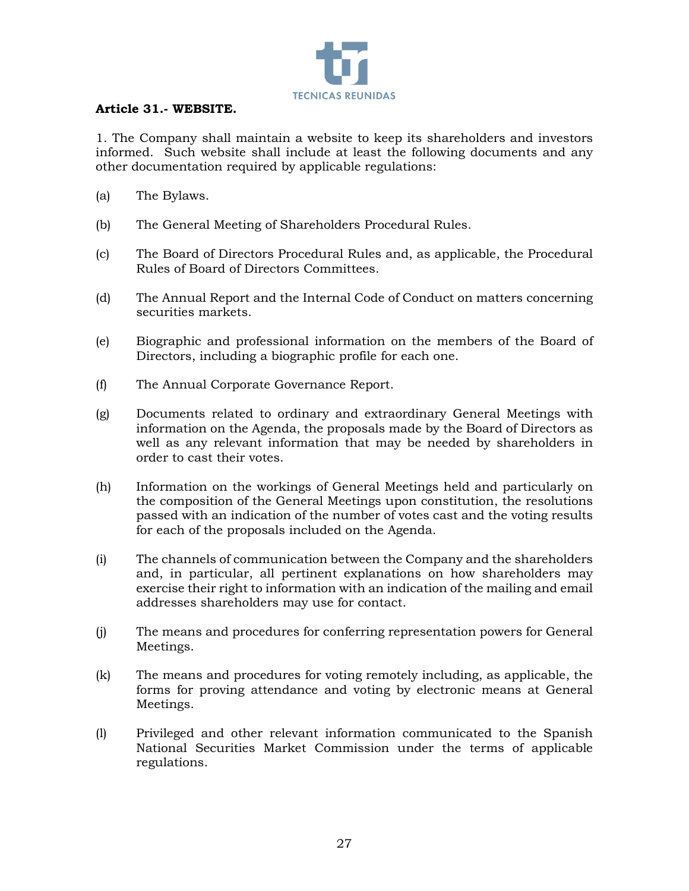

### **Article 31.- WEBSITE.**

1. The Company shall maintain a website to keep its shareholders and investors informed. Such website shall include at least the following documents and any other documentation required by applicable regulations:

- (a) The Bylaws.
- (b) The General Meeting of Shareholders Procedural Rules.
- (c) The Board of Directors Procedural Rules and, as applicable, the Procedural Rules of Board of Directors Committees.
- (d) The Annual Report and the Internal Code of Conduct on matters concerning securities markets.
- (e) Biographic and professional information on the members of the Board of Directors, including a biographic profile for each one.
- (f) The Annual Corporate Governance Report.
- (g) Documents related to ordinary and extraordinary General Meetings with information on the Agenda, the proposals made by the Board of Directors as well as any relevant information that may be needed by shareholders in order to cast their votes.
- (h) Information on the workings of General Meetings held and particularly on the composition of the General Meetings upon constitution, the resolutions passed with an indication of the number of votes cast and the voting results for each of the proposals included on the Agenda.
- (i) The channels of communication between the Company and the shareholders and, in particular, all pertinent explanations on how shareholders may exercise their right to information with an indication of the mailing and email addresses shareholders may use for contact.
- (j) The means and procedures for conferring representation powers for General Meetings.
- (k) The means and procedures for voting remotely including, as applicable, the forms for proving attendance and voting by electronic means at General Meetings.
- (l) Privileged and other relevant information communicated to the Spanish National Securities Market Commission under the terms of applicable regulations.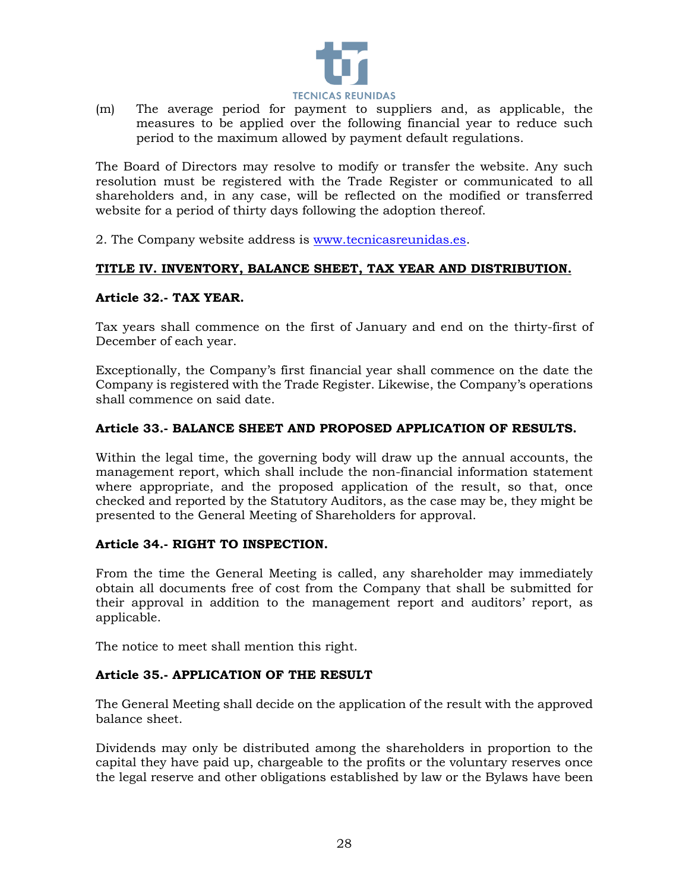

(m) The average period for payment to suppliers and, as applicable, the measures to be applied over the following financial year to reduce such period to the maximum allowed by payment default regulations.

The Board of Directors may resolve to modify or transfer the website. Any such resolution must be registered with the Trade Register or communicated to all shareholders and, in any case, will be reflected on the modified or transferred website for a period of thirty days following the adoption thereof.

2. The Company website address is [www.tecnicasreunidas.es.](http://www.tecnicasreunidas.es/)

# **TITLE IV. INVENTORY, BALANCE SHEET, TAX YEAR AND DISTRIBUTION.**

#### **Article 32.- TAX YEAR.**

Tax years shall commence on the first of January and end on the thirty-first of December of each year.

Exceptionally, the Company's first financial year shall commence on the date the Company is registered with the Trade Register. Likewise, the Company's operations shall commence on said date.

### **Article 33.- BALANCE SHEET AND PROPOSED APPLICATION OF RESULTS.**

Within the legal time, the governing body will draw up the annual accounts, the management report, which shall include the non-financial information statement where appropriate, and the proposed application of the result, so that, once checked and reported by the Statutory Auditors, as the case may be, they might be presented to the General Meeting of Shareholders for approval.

### **Article 34.- RIGHT TO INSPECTION.**

From the time the General Meeting is called, any shareholder may immediately obtain all documents free of cost from the Company that shall be submitted for their approval in addition to the management report and auditors' report, as applicable.

The notice to meet shall mention this right.

### **Article 35.- APPLICATION OF THE RESULT**

The General Meeting shall decide on the application of the result with the approved balance sheet.

Dividends may only be distributed among the shareholders in proportion to the capital they have paid up, chargeable to the profits or the voluntary reserves once the legal reserve and other obligations established by law or the Bylaws have been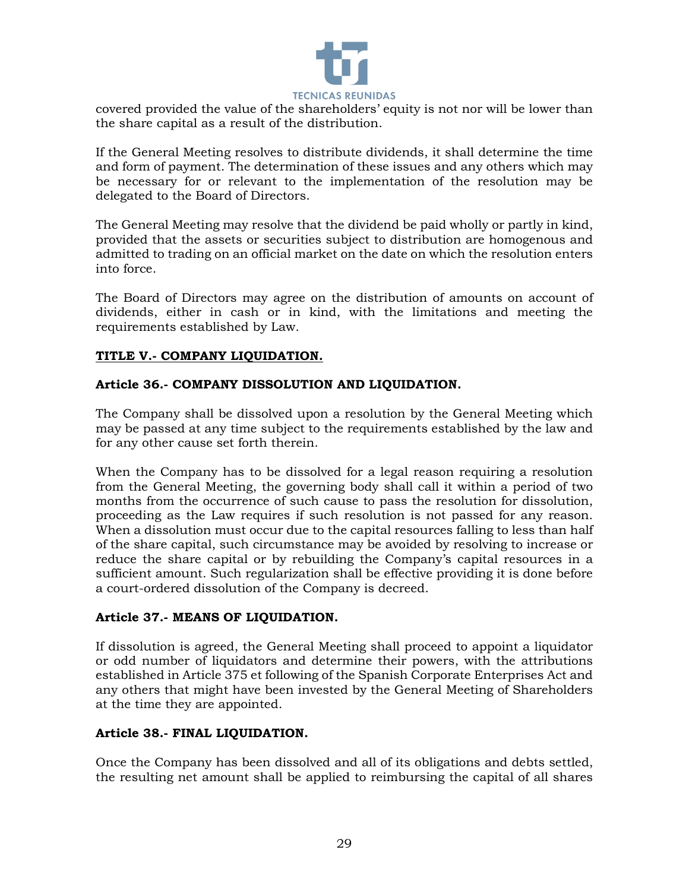

covered provided the value of the shareholders' equity is not nor will be lower than the share capital as a result of the distribution.

If the General Meeting resolves to distribute dividends, it shall determine the time and form of payment. The determination of these issues and any others which may be necessary for or relevant to the implementation of the resolution may be delegated to the Board of Directors.

The General Meeting may resolve that the dividend be paid wholly or partly in kind, provided that the assets or securities subject to distribution are homogenous and admitted to trading on an official market on the date on which the resolution enters into force.

The Board of Directors may agree on the distribution of amounts on account of dividends, either in cash or in kind, with the limitations and meeting the requirements established by Law.

# **TITLE V.- COMPANY LIQUIDATION.**

### **Article 36.- COMPANY DISSOLUTION AND LIQUIDATION.**

The Company shall be dissolved upon a resolution by the General Meeting which may be passed at any time subject to the requirements established by the law and for any other cause set forth therein.

When the Company has to be dissolved for a legal reason requiring a resolution from the General Meeting, the governing body shall call it within a period of two months from the occurrence of such cause to pass the resolution for dissolution, proceeding as the Law requires if such resolution is not passed for any reason. When a dissolution must occur due to the capital resources falling to less than half of the share capital, such circumstance may be avoided by resolving to increase or reduce the share capital or by rebuilding the Company's capital resources in a sufficient amount. Such regularization shall be effective providing it is done before a court-ordered dissolution of the Company is decreed.

### **Article 37.- MEANS OF LIQUIDATION.**

If dissolution is agreed, the General Meeting shall proceed to appoint a liquidator or odd number of liquidators and determine their powers, with the attributions established in Article 375 et following of the Spanish Corporate Enterprises Act and any others that might have been invested by the General Meeting of Shareholders at the time they are appointed.

### **Article 38.- FINAL LIQUIDATION.**

Once the Company has been dissolved and all of its obligations and debts settled, the resulting net amount shall be applied to reimbursing the capital of all shares